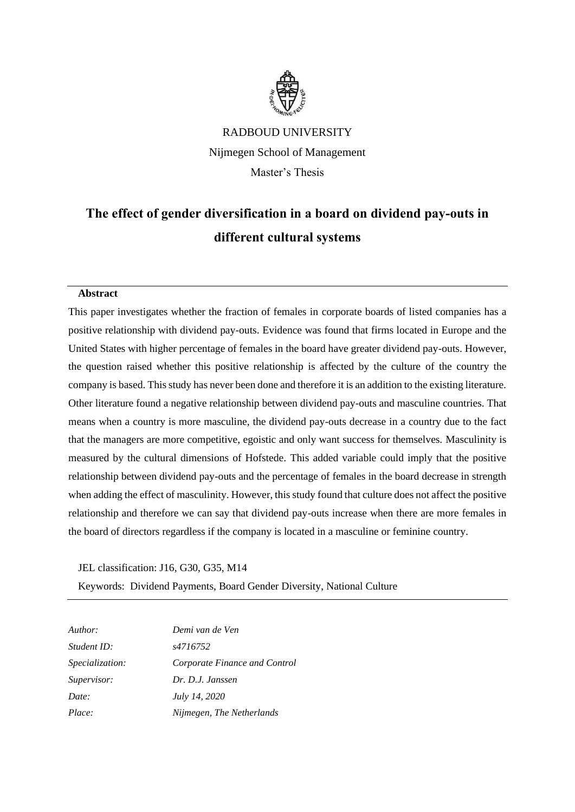

RADBOUD UNIVERSITY Nijmegen School of Management Master's Thesis

# **The effect of gender diversification in a board on dividend pay-outs in different cultural systems**

#### **Abstract**

This paper investigates whether the fraction of females in corporate boards of listed companies has a positive relationship with dividend pay-outs. Evidence was found that firms located in Europe and the United States with higher percentage of females in the board have greater dividend pay-outs. However, the question raised whether this positive relationship is affected by the culture of the country the company is based. This study has never been done and therefore it is an addition to the existing literature. Other literature found a negative relationship between dividend pay-outs and masculine countries. That means when a country is more masculine, the dividend pay-outs decrease in a country due to the fact that the managers are more competitive, egoistic and only want success for themselves. Masculinity is measured by the cultural dimensions of Hofstede. This added variable could imply that the positive relationship between dividend pay-outs and the percentage of females in the board decrease in strength when adding the effect of masculinity. However, this study found that culture does not affect the positive relationship and therefore we can say that dividend pay-outs increase when there are more females in the board of directors regardless if the company is located in a masculine or feminine country.

JEL classification: J16, G30, G35, M14

Keywords: Dividend Payments, Board Gender Diversity, National Culture

| Author:                | Demi van de Ven               |
|------------------------|-------------------------------|
| Student ID:            | s4716752                      |
| <i>Specialization:</i> | Corporate Finance and Control |
| <i>Supervisor:</i>     | Dr. D.J. Janssen              |
| Date:                  | <i>July 14, 2020</i>          |
| Place:                 | Nijmegen, The Netherlands     |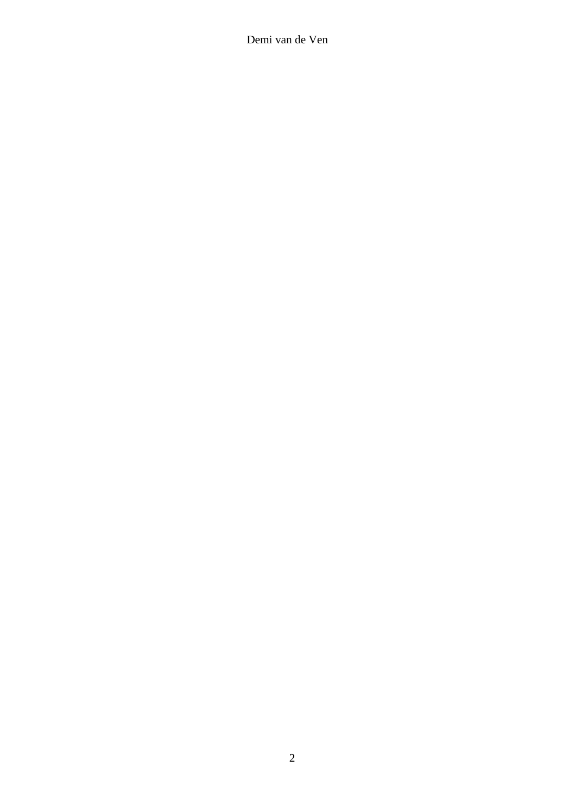Demi van de Ven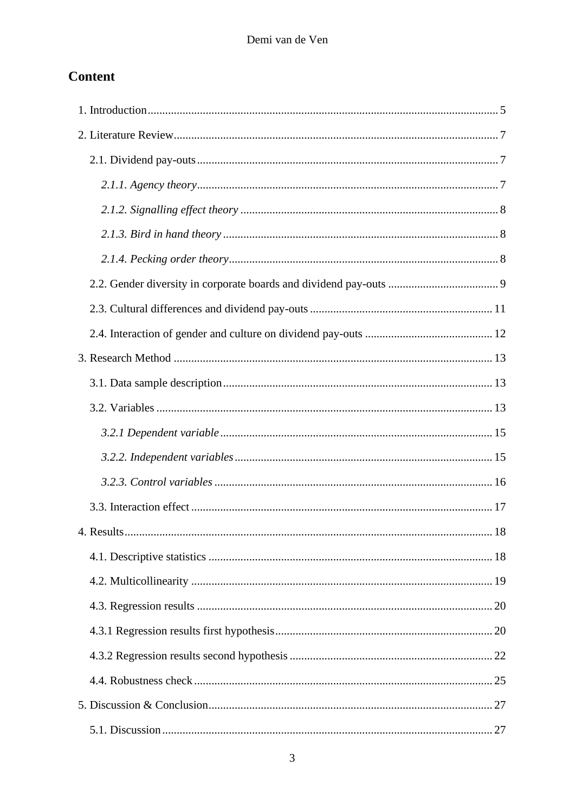# **Content**

| 4. Results<br>18 |  |
|------------------|--|
|                  |  |
|                  |  |
|                  |  |
|                  |  |
|                  |  |
|                  |  |
|                  |  |
|                  |  |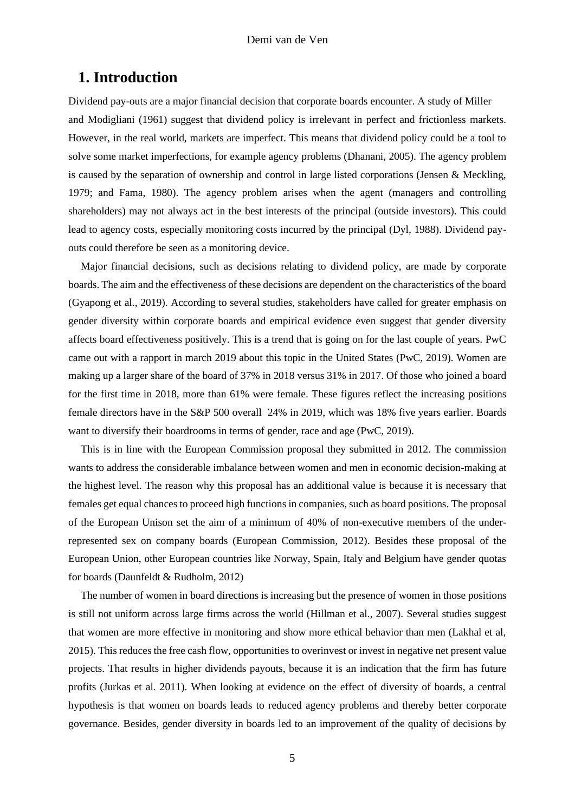## <span id="page-4-0"></span>**1. Introduction**

Dividend pay-outs are a major financial decision that corporate boards encounter. A study of Miller and Modigliani (1961) suggest that dividend policy is irrelevant in perfect and frictionless markets. However, in the real world, markets are imperfect. This means that dividend policy could be a tool to solve some market imperfections, for example agency problems (Dhanani, 2005). The agency problem is caused by the separation of ownership and control in large listed corporations (Jensen & Meckling, 1979; and Fama, 1980). The agency problem arises when the agent (managers and controlling shareholders) may not always act in the best interests of the principal (outside investors). This could lead to agency costs, especially monitoring costs incurred by the principal (Dyl, 1988). Dividend payouts could therefore be seen as a monitoring device.

Major financial decisions, such as decisions relating to dividend policy, are made by corporate boards. The aim and the effectiveness of these decisions are dependent on the characteristics of the board (Gyapong et al., 2019). According to several studies, stakeholders have called for greater emphasis on gender diversity within corporate boards and empirical evidence even suggest that gender diversity affects board effectiveness positively. This is a trend that is going on for the last couple of years. PwC came out with a rapport in march 2019 about this topic in the United States (PwC, 2019). Women are making up a larger share of the board of 37% in 2018 versus 31% in 2017. Of those who joined a board for the first time in 2018, more than 61% were female. These figures reflect the increasing positions female directors have in the S&P 500 overall 24% in 2019, which was 18% five years earlier. Boards want to diversify their boardrooms in terms of gender, race and age (PwC, 2019).

This is in line with the European Commission proposal they submitted in 2012. The commission wants to address the considerable imbalance between women and men in economic decision-making at the highest level. The reason why this proposal has an additional value is because it is necessary that females get equal chances to proceed high functions in companies, such as board positions. The proposal of the European Unison set the aim of a minimum of 40% of non-executive members of the underrepresented sex on company boards (European Commission, 2012). Besides these proposal of the European Union, other European countries like Norway, Spain, Italy and Belgium have gender quotas for boards (Daunfeldt & Rudholm, 2012)

The number of women in board directions is increasing but the presence of women in those positions is still not uniform across large firms across the world (Hillman et al., 2007). Several studies suggest that women are more effective in monitoring and show more ethical behavior than men (Lakhal et al, 2015). This reduces the free cash flow, opportunities to overinvest or invest in negative net present value projects. That results in higher dividends payouts, because it is an indication that the firm has future profits (Jurkas et al. 2011). When looking at evidence on the effect of diversity of boards, a central hypothesis is that women on boards leads to reduced agency problems and thereby better corporate governance. Besides, gender diversity in boards led to an improvement of the quality of decisions by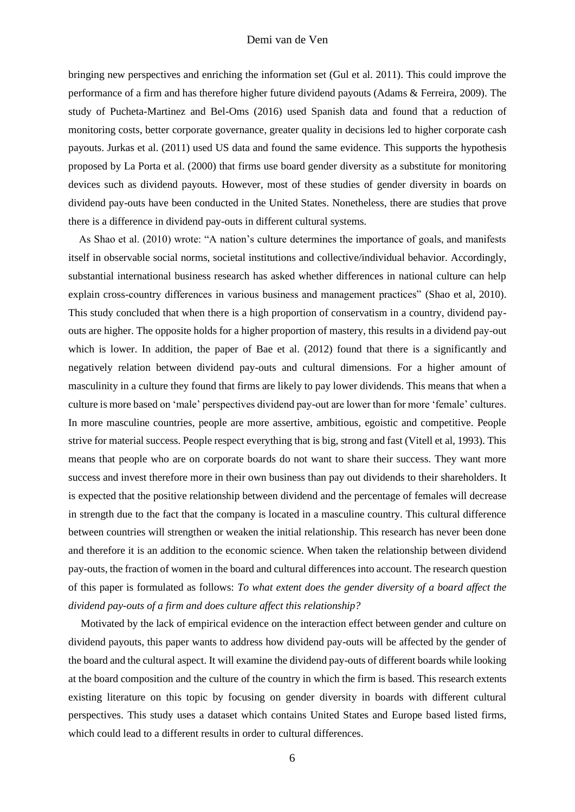#### Demi van de Ven

bringing new perspectives and enriching the information set (Gul et al. 2011). This could improve the performance of a firm and has therefore higher future dividend payouts (Adams & Ferreira, 2009). The study of Pucheta-Martinez and Bel-Oms (2016) used Spanish data and found that a reduction of monitoring costs, better corporate governance, greater quality in decisions led to higher corporate cash payouts. Jurkas et al. (2011) used US data and found the same evidence. This supports the hypothesis proposed by La Porta et al. (2000) that firms use board gender diversity as a substitute for monitoring devices such as dividend payouts. However, most of these studies of gender diversity in boards on dividend pay-outs have been conducted in the United States. Nonetheless, there are studies that prove there is a difference in dividend pay-outs in different cultural systems.

 As Shao et al. (2010) wrote: "A nation's culture determines the importance of goals, and manifests itself in observable social norms, societal institutions and collective/individual behavior. Accordingly, substantial international business research has asked whether differences in national culture can help explain cross-country differences in various business and management practices" (Shao et al, 2010). This study concluded that when there is a high proportion of conservatism in a country, dividend payouts are higher. The opposite holds for a higher proportion of mastery, this results in a dividend pay-out which is lower. In addition, the paper of Bae et al. (2012) found that there is a significantly and negatively relation between dividend pay-outs and cultural dimensions. For a higher amount of masculinity in a culture they found that firms are likely to pay lower dividends. This means that when a culture is more based on 'male' perspectives dividend pay-out are lower than for more 'female' cultures. In more masculine countries, people are more assertive, ambitious, egoistic and competitive. People strive for material success. People respect everything that is big, strong and fast (Vitell et al, 1993). This means that people who are on corporate boards do not want to share their success. They want more success and invest therefore more in their own business than pay out dividends to their shareholders. It is expected that the positive relationship between dividend and the percentage of females will decrease in strength due to the fact that the company is located in a masculine country. This cultural difference between countries will strengthen or weaken the initial relationship. This research has never been done and therefore it is an addition to the economic science. When taken the relationship between dividend pay-outs, the fraction of women in the board and cultural differences into account. The research question of this paper is formulated as follows: *To what extent does the gender diversity of a board affect the dividend pay-outs of a firm and does culture affect this relationship?*

Motivated by the lack of empirical evidence on the interaction effect between gender and culture on dividend payouts, this paper wants to address how dividend pay-outs will be affected by the gender of the board and the cultural aspect. It will examine the dividend pay-outs of different boards while looking at the board composition and the culture of the country in which the firm is based. This research extents existing literature on this topic by focusing on gender diversity in boards with different cultural perspectives. This study uses a dataset which contains United States and Europe based listed firms, which could lead to a different results in order to cultural differences.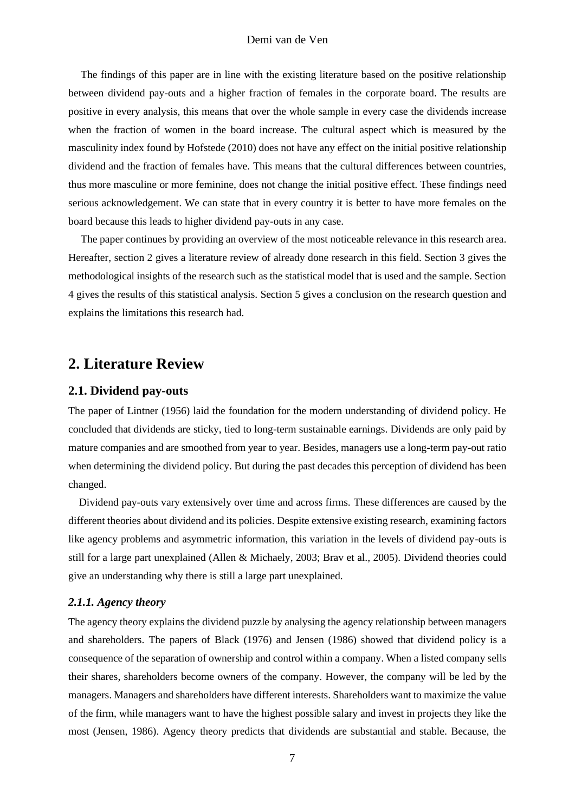The findings of this paper are in line with the existing literature based on the positive relationship between dividend pay-outs and a higher fraction of females in the corporate board. The results are positive in every analysis, this means that over the whole sample in every case the dividends increase when the fraction of women in the board increase. The cultural aspect which is measured by the masculinity index found by Hofstede (2010) does not have any effect on the initial positive relationship dividend and the fraction of females have. This means that the cultural differences between countries, thus more masculine or more feminine, does not change the initial positive effect. These findings need serious acknowledgement. We can state that in every country it is better to have more females on the board because this leads to higher dividend pay-outs in any case.

The paper continues by providing an overview of the most noticeable relevance in this research area. Hereafter, section 2 gives a literature review of already done research in this field. Section 3 gives the methodological insights of the research such as the statistical model that is used and the sample. Section 4 gives the results of this statistical analysis. Section 5 gives a conclusion on the research question and explains the limitations this research had.

## <span id="page-6-0"></span>**2. Literature Review**

## <span id="page-6-1"></span>**2.1. Dividend pay-outs**

The paper of Lintner (1956) laid the foundation for the modern understanding of dividend policy. He concluded that dividends are sticky, tied to long-term sustainable earnings. Dividends are only paid by mature companies and are smoothed from year to year. Besides, managers use a long-term pay-out ratio when determining the dividend policy. But during the past decades this perception of dividend has been changed.

 Dividend pay-outs vary extensively over time and across firms. These differences are caused by the different theories about dividend and its policies. Despite extensive existing research, examining factors like agency problems and asymmetric information, this variation in the levels of dividend pay-outs is still for a large part unexplained (Allen & Michaely, 2003; Brav et al., 2005). Dividend theories could give an understanding why there is still a large part unexplained.

#### <span id="page-6-2"></span>*2.1.1. Agency theory*

The agency theory explains the dividend puzzle by analysing the agency relationship between managers and shareholders. The papers of Black (1976) and Jensen (1986) showed that dividend policy is a consequence of the separation of ownership and control within a company. When a listed company sells their shares, shareholders become owners of the company. However, the company will be led by the managers. Managers and shareholders have different interests. Shareholders want to maximize the value of the firm, while managers want to have the highest possible salary and invest in projects they like the most (Jensen, 1986). Agency theory predicts that dividends are substantial and stable. Because, the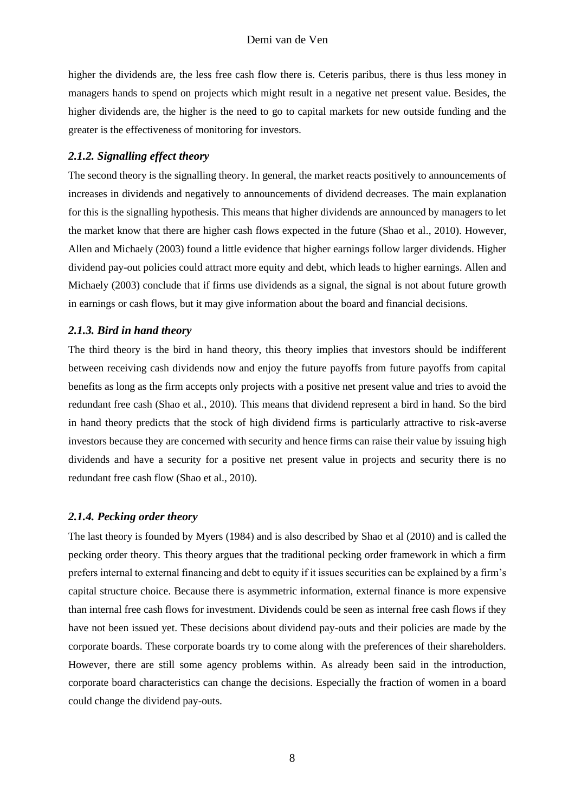higher the dividends are, the less free cash flow there is. Ceteris paribus, there is thus less money in managers hands to spend on projects which might result in a negative net present value. Besides, the higher dividends are, the higher is the need to go to capital markets for new outside funding and the greater is the effectiveness of monitoring for investors.

## <span id="page-7-0"></span>*2.1.2. Signalling effect theory*

The second theory is the signalling theory. In general, the market reacts positively to announcements of increases in dividends and negatively to announcements of dividend decreases. The main explanation for this is the signalling hypothesis. This means that higher dividends are announced by managers to let the market know that there are higher cash flows expected in the future (Shao et al., 2010). However, Allen and Michaely (2003) found a little evidence that higher earnings follow larger dividends. Higher dividend pay-out policies could attract more equity and debt, which leads to higher earnings. Allen and Michaely (2003) conclude that if firms use dividends as a signal, the signal is not about future growth in earnings or cash flows, but it may give information about the board and financial decisions.

## <span id="page-7-1"></span>*2.1.3. Bird in hand theory*

The third theory is the bird in hand theory, this theory implies that investors should be indifferent between receiving cash dividends now and enjoy the future payoffs from future payoffs from capital benefits as long as the firm accepts only projects with a positive net present value and tries to avoid the redundant free cash (Shao et al., 2010). This means that dividend represent a bird in hand. So the bird in hand theory predicts that the stock of high dividend firms is particularly attractive to risk-averse investors because they are concerned with security and hence firms can raise their value by issuing high dividends and have a security for a positive net present value in projects and security there is no redundant free cash flow (Shao et al., 2010).

## <span id="page-7-2"></span>*2.1.4. Pecking order theory*

The last theory is founded by Myers (1984) and is also described by Shao et al (2010) and is called the pecking order theory. This theory argues that the traditional pecking order framework in which a firm prefers internal to external financing and debt to equity if it issues securities can be explained by a firm's capital structure choice. Because there is asymmetric information, external finance is more expensive than internal free cash flows for investment. Dividends could be seen as internal free cash flows if they have not been issued yet. These decisions about dividend pay-outs and their policies are made by the corporate boards. These corporate boards try to come along with the preferences of their shareholders. However, there are still some agency problems within. As already been said in the introduction, corporate board characteristics can change the decisions. Especially the fraction of women in a board could change the dividend pay-outs.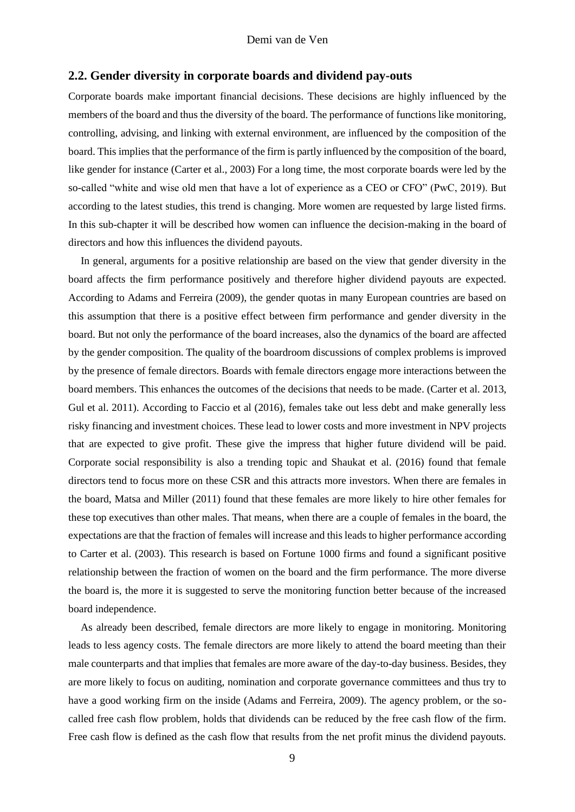#### <span id="page-8-0"></span>**2.2. Gender diversity in corporate boards and dividend pay-outs**

Corporate boards make important financial decisions. These decisions are highly influenced by the members of the board and thus the diversity of the board. The performance of functions like monitoring, controlling, advising, and linking with external environment, are influenced by the composition of the board. This implies that the performance of the firm is partly influenced by the composition of the board, like gender for instance (Carter et al., 2003) For a long time, the most corporate boards were led by the so-called "white and wise old men that have a lot of experience as a CEO or CFO" (PwC, 2019). But according to the latest studies, this trend is changing. More women are requested by large listed firms. In this sub-chapter it will be described how women can influence the decision-making in the board of directors and how this influences the dividend payouts.

In general, arguments for a positive relationship are based on the view that gender diversity in the board affects the firm performance positively and therefore higher dividend payouts are expected. According to Adams and Ferreira (2009), the gender quotas in many European countries are based on this assumption that there is a positive effect between firm performance and gender diversity in the board. But not only the performance of the board increases, also the dynamics of the board are affected by the gender composition. The quality of the boardroom discussions of complex problems is improved by the presence of female directors. Boards with female directors engage more interactions between the board members. This enhances the outcomes of the decisions that needs to be made. (Carter et al. 2013, Gul et al. 2011). According to Faccio et al (2016), females take out less debt and make generally less risky financing and investment choices. These lead to lower costs and more investment in NPV projects that are expected to give profit. These give the impress that higher future dividend will be paid. Corporate social responsibility is also a trending topic and Shaukat et al. (2016) found that female directors tend to focus more on these CSR and this attracts more investors. When there are females in the board, Matsa and Miller (2011) found that these females are more likely to hire other females for these top executives than other males. That means, when there are a couple of females in the board, the expectations are that the fraction of females will increase and this leads to higher performance according to Carter et al. (2003). This research is based on Fortune 1000 firms and found a significant positive relationship between the fraction of women on the board and the firm performance. The more diverse the board is, the more it is suggested to serve the monitoring function better because of the increased board independence.

As already been described, female directors are more likely to engage in monitoring. Monitoring leads to less agency costs. The female directors are more likely to attend the board meeting than their male counterparts and that implies that females are more aware of the day-to-day business. Besides, they are more likely to focus on auditing, nomination and corporate governance committees and thus try to have a good working firm on the inside (Adams and Ferreira, 2009). The agency problem, or the socalled free cash flow problem, holds that dividends can be reduced by the free cash flow of the firm. Free cash flow is defined as the cash flow that results from the net profit minus the dividend payouts.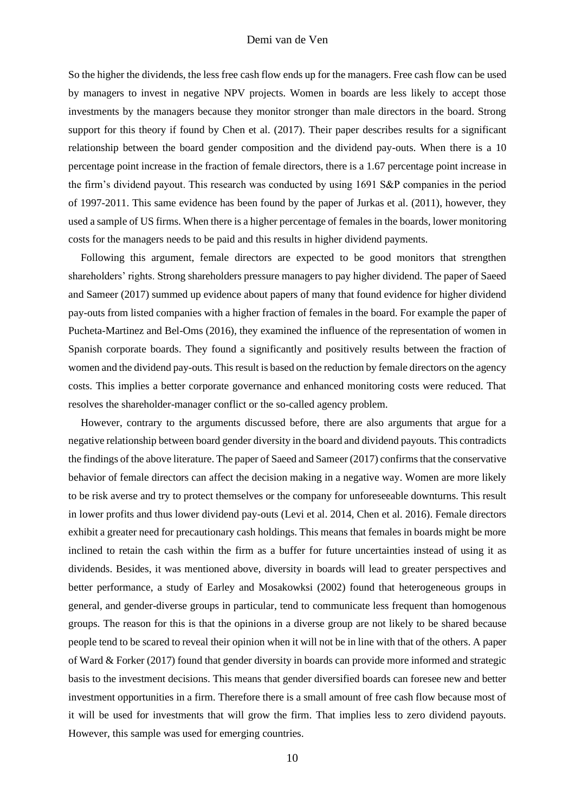So the higher the dividends, the less free cash flow ends up for the managers. Free cash flow can be used by managers to invest in negative NPV projects. Women in boards are less likely to accept those investments by the managers because they monitor stronger than male directors in the board. Strong support for this theory if found by Chen et al. (2017). Their paper describes results for a significant relationship between the board gender composition and the dividend pay-outs. When there is a 10 percentage point increase in the fraction of female directors, there is a 1.67 percentage point increase in the firm's dividend payout. This research was conducted by using 1691 S&P companies in the period of 1997-2011. This same evidence has been found by the paper of Jurkas et al. (2011), however, they used a sample of US firms. When there is a higher percentage of females in the boards, lower monitoring costs for the managers needs to be paid and this results in higher dividend payments.

Following this argument, female directors are expected to be good monitors that strengthen shareholders' rights. Strong shareholders pressure managers to pay higher dividend. The paper of Saeed and Sameer (2017) summed up evidence about papers of many that found evidence for higher dividend pay-outs from listed companies with a higher fraction of females in the board. For example the paper of Pucheta-Martinez and Bel-Oms (2016), they examined the influence of the representation of women in Spanish corporate boards. They found a significantly and positively results between the fraction of women and the dividend pay-outs. This result is based on the reduction by female directors on the agency costs. This implies a better corporate governance and enhanced monitoring costs were reduced. That resolves the shareholder-manager conflict or the so-called agency problem.

However, contrary to the arguments discussed before, there are also arguments that argue for a negative relationship between board gender diversity in the board and dividend payouts. This contradicts the findings of the above literature. The paper of Saeed and Sameer (2017) confirms that the conservative behavior of female directors can affect the decision making in a negative way. Women are more likely to be risk averse and try to protect themselves or the company for unforeseeable downturns. This result in lower profits and thus lower dividend pay-outs (Levi et al. 2014, Chen et al. 2016). Female directors exhibit a greater need for precautionary cash holdings. This means that females in boards might be more inclined to retain the cash within the firm as a buffer for future uncertainties instead of using it as dividends. Besides, it was mentioned above, diversity in boards will lead to greater perspectives and better performance, a study of Earley and Mosakowksi (2002) found that heterogeneous groups in general, and gender-diverse groups in particular, tend to communicate less frequent than homogenous groups. The reason for this is that the opinions in a diverse group are not likely to be shared because people tend to be scared to reveal their opinion when it will not be in line with that of the others. A paper of Ward & Forker (2017) found that gender diversity in boards can provide more informed and strategic basis to the investment decisions. This means that gender diversified boards can foresee new and better investment opportunities in a firm. Therefore there is a small amount of free cash flow because most of it will be used for investments that will grow the firm. That implies less to zero dividend payouts. However, this sample was used for emerging countries.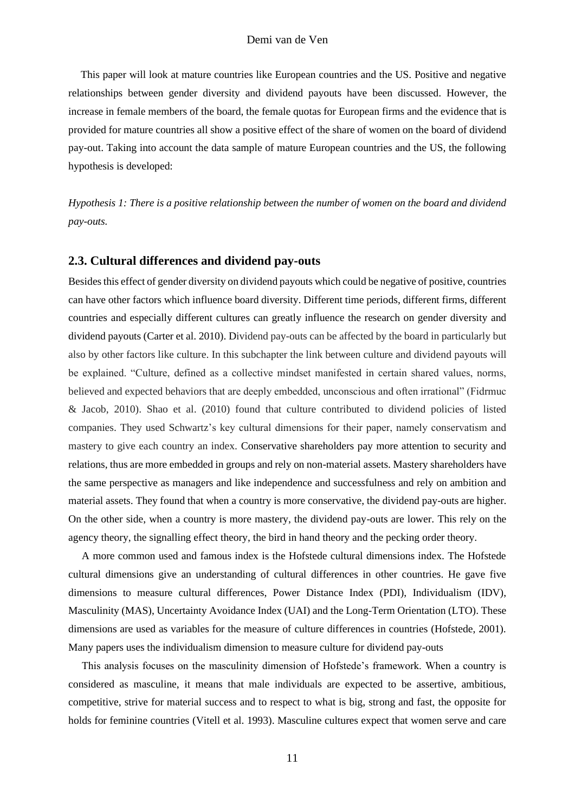This paper will look at mature countries like European countries and the US. Positive and negative relationships between gender diversity and dividend payouts have been discussed. However, the increase in female members of the board, the female quotas for European firms and the evidence that is provided for mature countries all show a positive effect of the share of women on the board of dividend pay-out. Taking into account the data sample of mature European countries and the US, the following hypothesis is developed:

*Hypothesis 1: There is a positive relationship between the number of women on the board and dividend pay-outs.*

## <span id="page-10-0"></span>**2.3. Cultural differences and dividend pay-outs**

Besides this effect of gender diversity on dividend payouts which could be negative of positive, countries can have other factors which influence board diversity. Different time periods, different firms, different countries and especially different cultures can greatly influence the research on gender diversity and dividend payouts (Carter et al. 2010). Dividend pay-outs can be affected by the board in particularly but also by other factors like culture. In this subchapter the link between culture and dividend payouts will be explained. "Culture, defined as a collective mindset manifested in certain shared values, norms, believed and expected behaviors that are deeply embedded, unconscious and often irrational" (Fidrmuc & Jacob, 2010). Shao et al. (2010) found that culture contributed to dividend policies of listed companies. They used Schwartz's key cultural dimensions for their paper, namely conservatism and mastery to give each country an index. Conservative shareholders pay more attention to security and relations, thus are more embedded in groups and rely on non-material assets. Mastery shareholders have the same perspective as managers and like independence and successfulness and rely on ambition and material assets. They found that when a country is more conservative, the dividend pay-outs are higher. On the other side, when a country is more mastery, the dividend pay-outs are lower. This rely on the agency theory, the signalling effect theory, the bird in hand theory and the pecking order theory.

 A more common used and famous index is the Hofstede cultural dimensions index. The Hofstede cultural dimensions give an understanding of cultural differences in other countries. He gave five dimensions to measure cultural differences, Power Distance Index (PDI), Individualism (IDV), Masculinity (MAS), Uncertainty Avoidance Index (UAI) and the Long-Term Orientation (LTO). These dimensions are used as variables for the measure of culture differences in countries (Hofstede, 2001). Many papers uses the individualism dimension to measure culture for dividend pay-outs

 This analysis focuses on the masculinity dimension of Hofstede's framework. When a country is considered as masculine, it means that male individuals are expected to be assertive, ambitious, competitive, strive for material success and to respect to what is big, strong and fast, the opposite for holds for feminine countries (Vitell et al. 1993). Masculine cultures expect that women serve and care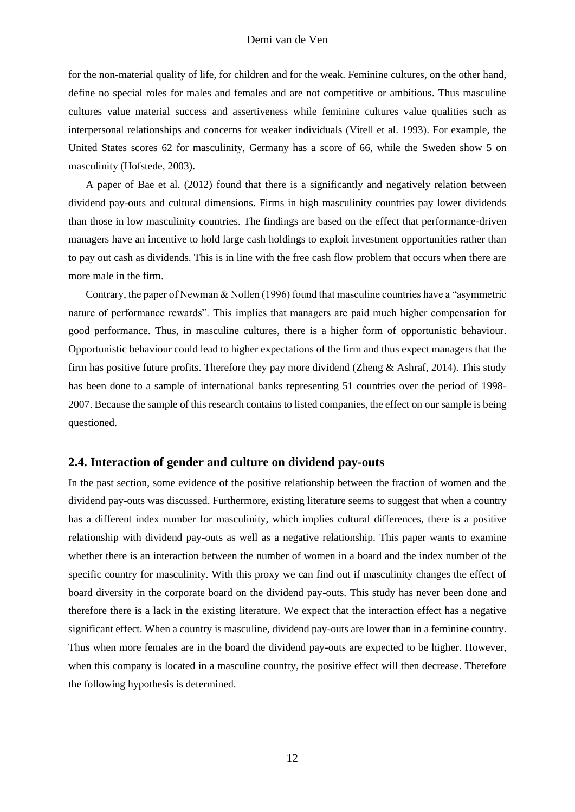for the non-material quality of life, for children and for the weak. Feminine cultures, on the other hand, define no special roles for males and females and are not competitive or ambitious. Thus masculine cultures value material success and assertiveness while feminine cultures value qualities such as interpersonal relationships and concerns for weaker individuals (Vitell et al. 1993). For example, the United States scores 62 for masculinity, Germany has a score of 66, while the Sweden show 5 on masculinity (Hofstede, 2003).

A paper of Bae et al. (2012) found that there is a significantly and negatively relation between dividend pay-outs and cultural dimensions. Firms in high masculinity countries pay lower dividends than those in low masculinity countries. The findings are based on the effect that performance-driven managers have an incentive to hold large cash holdings to exploit investment opportunities rather than to pay out cash as dividends. This is in line with the free cash flow problem that occurs when there are more male in the firm.

Contrary, the paper of Newman & Nollen (1996) found that masculine countries have a "asymmetric nature of performance rewards". This implies that managers are paid much higher compensation for good performance. Thus, in masculine cultures, there is a higher form of opportunistic behaviour. Opportunistic behaviour could lead to higher expectations of the firm and thus expect managers that the firm has positive future profits. Therefore they pay more dividend (Zheng & Ashraf, 2014). This study has been done to a sample of international banks representing 51 countries over the period of 1998- 2007. Because the sample of this research contains to listed companies, the effect on our sample is being questioned.

#### <span id="page-11-0"></span>**2.4. Interaction of gender and culture on dividend pay-outs**

In the past section, some evidence of the positive relationship between the fraction of women and the dividend pay-outs was discussed. Furthermore, existing literature seems to suggest that when a country has a different index number for masculinity, which implies cultural differences, there is a positive relationship with dividend pay-outs as well as a negative relationship. This paper wants to examine whether there is an interaction between the number of women in a board and the index number of the specific country for masculinity. With this proxy we can find out if masculinity changes the effect of board diversity in the corporate board on the dividend pay-outs. This study has never been done and therefore there is a lack in the existing literature. We expect that the interaction effect has a negative significant effect. When a country is masculine, dividend pay-outs are lower than in a feminine country. Thus when more females are in the board the dividend pay-outs are expected to be higher. However, when this company is located in a masculine country, the positive effect will then decrease. Therefore the following hypothesis is determined.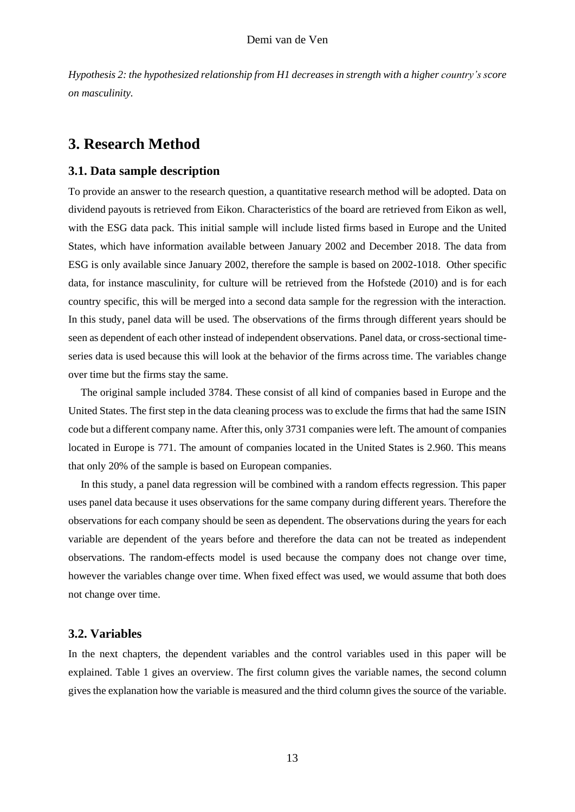*Hypothesis 2: the hypothesized relationship from H1 decreases in strength with a higher country's score on masculinity.* 

## <span id="page-12-0"></span>**3. Research Method**

#### <span id="page-12-1"></span>**3.1. Data sample description**

To provide an answer to the research question, a quantitative research method will be adopted. Data on dividend payouts is retrieved from Eikon. Characteristics of the board are retrieved from Eikon as well, with the ESG data pack. This initial sample will include listed firms based in Europe and the United States, which have information available between January 2002 and December 2018. The data from ESG is only available since January 2002, therefore the sample is based on 2002-1018. Other specific data, for instance masculinity, for culture will be retrieved from the Hofstede (2010) and is for each country specific, this will be merged into a second data sample for the regression with the interaction. In this study, panel data will be used. The observations of the firms through different years should be seen as dependent of each other instead of independent observations. Panel data, or cross-sectional timeseries data is used because this will look at the behavior of the firms across time. The variables change over time but the firms stay the same.

The original sample included 3784. These consist of all kind of companies based in Europe and the United States. The first step in the data cleaning process was to exclude the firms that had the same ISIN code but a different company name. After this, only 3731 companies were left. The amount of companies located in Europe is 771. The amount of companies located in the United States is 2.960. This means that only 20% of the sample is based on European companies.

In this study, a panel data regression will be combined with a random effects regression. This paper uses panel data because it uses observations for the same company during different years. Therefore the observations for each company should be seen as dependent. The observations during the years for each variable are dependent of the years before and therefore the data can not be treated as independent observations. The random-effects model is used because the company does not change over time, however the variables change over time. When fixed effect was used, we would assume that both does not change over time.

#### <span id="page-12-2"></span>**3.2. Variables**

In the next chapters, the dependent variables and the control variables used in this paper will be explained. Table 1 gives an overview. The first column gives the variable names, the second column gives the explanation how the variable is measured and the third column gives the source of the variable.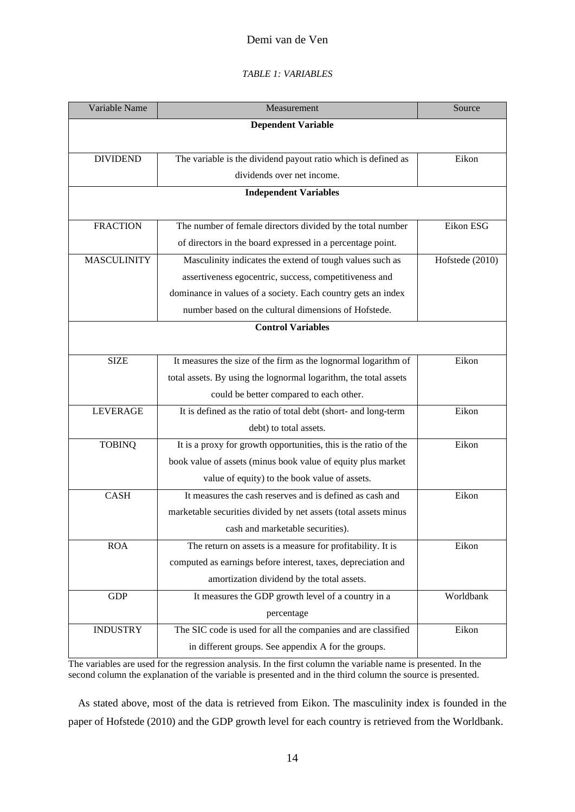## *TABLE 1: VARIABLES*

| Variable Name      | Measurement                                                      | Source          |
|--------------------|------------------------------------------------------------------|-----------------|
|                    | <b>Dependent Variable</b>                                        |                 |
|                    |                                                                  |                 |
| <b>DIVIDEND</b>    | The variable is the dividend payout ratio which is defined as    | Eikon           |
|                    | dividends over net income.                                       |                 |
|                    | <b>Independent Variables</b>                                     |                 |
|                    |                                                                  |                 |
| <b>FRACTION</b>    | The number of female directors divided by the total number       | Eikon ESG       |
|                    | of directors in the board expressed in a percentage point.       |                 |
| <b>MASCULINITY</b> | Masculinity indicates the extend of tough values such as         | Hofstede (2010) |
|                    | assertiveness egocentric, success, competitiveness and           |                 |
|                    | dominance in values of a society. Each country gets an index     |                 |
|                    | number based on the cultural dimensions of Hofstede.             |                 |
|                    | <b>Control Variables</b>                                         |                 |
|                    |                                                                  |                 |
| <b>SIZE</b>        | It measures the size of the firm as the lognormal logarithm of   | Eikon           |
|                    | total assets. By using the lognormal logarithm, the total assets |                 |
|                    | could be better compared to each other.                          |                 |
| <b>LEVERAGE</b>    | It is defined as the ratio of total debt (short- and long-term   | Eikon           |
|                    | debt) to total assets.                                           |                 |
| <b>TOBINQ</b>      | It is a proxy for growth opportunities, this is the ratio of the | Eikon           |
|                    | book value of assets (minus book value of equity plus market     |                 |
|                    | value of equity) to the book value of assets.                    |                 |
| $CA\overline{SH}$  | It measures the cash reserves and is defined as cash and         | Eikon           |
|                    | marketable securities divided by net assets (total assets minus  |                 |
|                    | cash and marketable securities).                                 |                 |
| <b>ROA</b>         | The return on assets is a measure for profitability. It is       | Eikon           |
|                    | computed as earnings before interest, taxes, depreciation and    |                 |
|                    | amortization dividend by the total assets.                       |                 |
| <b>GDP</b>         | It measures the GDP growth level of a country in a               | Worldbank       |
|                    | percentage                                                       |                 |
| <b>INDUSTRY</b>    | The SIC code is used for all the companies and are classified    | Eikon           |
|                    | in different groups. See appendix A for the groups.              |                 |

The variables are used for the regression analysis. In the first column the variable name is presented. In the second column the explanation of the variable is presented and in the third column the source is presented.

As stated above, most of the data is retrieved from Eikon. The masculinity index is founded in the paper of Hofstede (2010) and the GDP growth level for each country is retrieved from the Worldbank.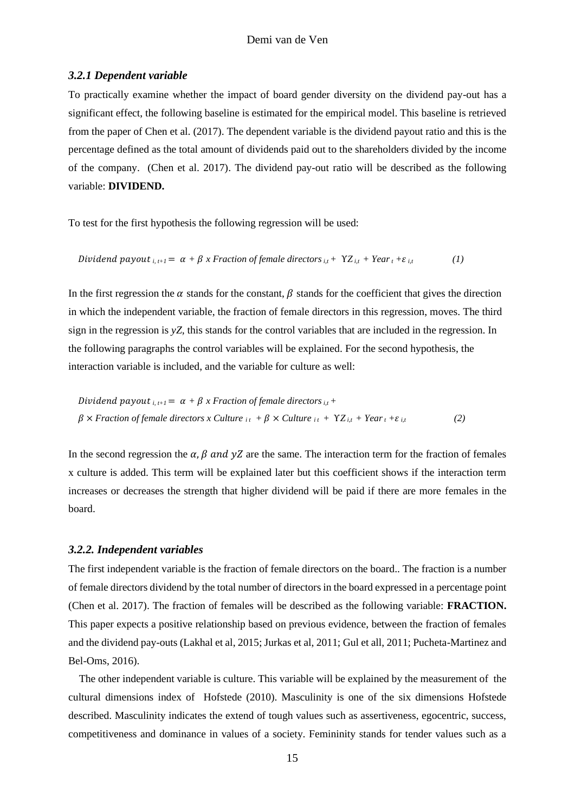#### <span id="page-14-0"></span>*3.2.1 Dependent variable*

To practically examine whether the impact of board gender diversity on the dividend pay-out has a significant effect, the following baseline is estimated for the empirical model. This baseline is retrieved from the paper of Chen et al. (2017). The dependent variable is the dividend payout ratio and this is the percentage defined as the total amount of dividends paid out to the shareholders divided by the income of the company. (Chen et al. 2017). The dividend pay-out ratio will be described as the following variable: **DIVIDEND.**

To test for the first hypothesis the following regression will be used:

Dividend payout 
$$
\mathbf{r}_{i,t+1} = \alpha + \beta x
$$
 Fraction of female directory  $\mathbf{r}_{i,t} + \mathbf{Y} \mathbf{Z}_{i,t} + \mathbf{Y} \mathbf{e} \mathbf{a} \mathbf{r}_t + \mathbf{\varepsilon}_{i,t}$  (1)

In the first regression the  $\alpha$  stands for the constant,  $\beta$  stands for the coefficient that gives the direction in which the independent variable, the fraction of female directors in this regression, moves. The third sign in the regression is *yZ,* this stands for the control variables that are included in the regression. In the following paragraphs the control variables will be explained. For the second hypothesis, the interaction variable is included, and the variable for culture as well:

Dividend payout 
$$
_{i,t+1} = \alpha + \beta x
$$
 Fraction of female directory  $s_{i,t} + \beta \times$  Fraction of female directory  $s_{i,t} + \gamma Z_{i,t} + \gamma Z_{i,t} + \gamma Z_{i,t}$  (2)

In the second regression the  $\alpha$ ,  $\beta$  and  $\gamma Z$  are the same. The interaction term for the fraction of females x culture is added. This term will be explained later but this coefficient shows if the interaction term increases or decreases the strength that higher dividend will be paid if there are more females in the board.

#### <span id="page-14-1"></span>*3.2.2. Independent variables*

The first independent variable is the fraction of female directors on the board.. The fraction is a number of female directors dividend by the total number of directors in the board expressed in a percentage point (Chen et al. 2017). The fraction of females will be described as the following variable: **FRACTION.** This paper expects a positive relationship based on previous evidence, between the fraction of females and the dividend pay-outs (Lakhal et al, 2015; Jurkas et al, 2011; Gul et all, 2011; Pucheta-Martinez and Bel-Oms, 2016).

 The other independent variable is culture. This variable will be explained by the measurement of the cultural dimensions index of Hofstede (2010). Masculinity is one of the six dimensions Hofstede described. Masculinity indicates the extend of tough values such as assertiveness, egocentric, success, competitiveness and dominance in values of a society. Femininity stands for tender values such as a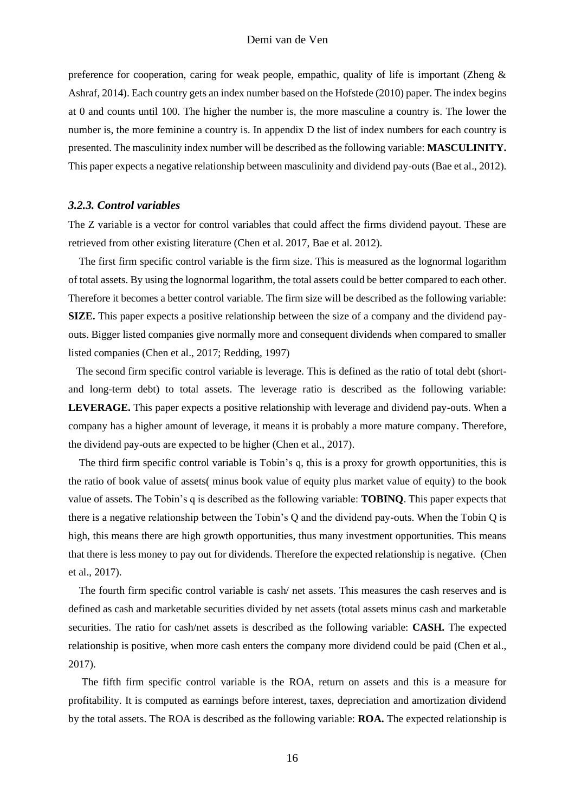preference for cooperation, caring for weak people, empathic, quality of life is important (Zheng & Ashraf, 2014). Each country gets an index number based on the Hofstede (2010) paper. The index begins at 0 and counts until 100. The higher the number is, the more masculine a country is. The lower the number is, the more feminine a country is. In appendix D the list of index numbers for each country is presented. The masculinity index number will be described as the following variable: **MASCULINITY.** This paper expects a negative relationship between masculinity and dividend pay-outs (Bae et al., 2012).

#### <span id="page-15-0"></span>*3.2.3. Control variables*

The Z variable is a vector for control variables that could affect the firms dividend payout. These are retrieved from other existing literature (Chen et al. 2017, Bae et al. 2012).

 The first firm specific control variable is the firm size. This is measured as the lognormal logarithm of total assets. By using the lognormal logarithm, the total assets could be better compared to each other. Therefore it becomes a better control variable. The firm size will be described as the following variable: **SIZE.** This paper expects a positive relationship between the size of a company and the dividend payouts. Bigger listed companies give normally more and consequent dividends when compared to smaller listed companies (Chen et al., 2017; Redding, 1997)

The second firm specific control variable is leverage. This is defined as the ratio of total debt (shortand long-term debt) to total assets. The leverage ratio is described as the following variable: **LEVERAGE.** This paper expects a positive relationship with leverage and dividend pay-outs. When a company has a higher amount of leverage, it means it is probably a more mature company. Therefore, the dividend pay-outs are expected to be higher (Chen et al., 2017).

 The third firm specific control variable is Tobin's q, this is a proxy for growth opportunities, this is the ratio of book value of assets( minus book value of equity plus market value of equity) to the book value of assets. The Tobin's q is described as the following variable: **TOBINQ**. This paper expects that there is a negative relationship between the Tobin's Q and the dividend pay-outs. When the Tobin Q is high, this means there are high growth opportunities, thus many investment opportunities. This means that there is less money to pay out for dividends. Therefore the expected relationship is negative. (Chen et al., 2017).

 The fourth firm specific control variable is cash/ net assets. This measures the cash reserves and is defined as cash and marketable securities divided by net assets (total assets minus cash and marketable securities. The ratio for cash/net assets is described as the following variable: **CASH.** The expected relationship is positive, when more cash enters the company more dividend could be paid (Chen et al., 2017).

 The fifth firm specific control variable is the ROA, return on assets and this is a measure for profitability. It is computed as earnings before interest, taxes, depreciation and amortization dividend by the total assets. The ROA is described as the following variable: **ROA.** The expected relationship is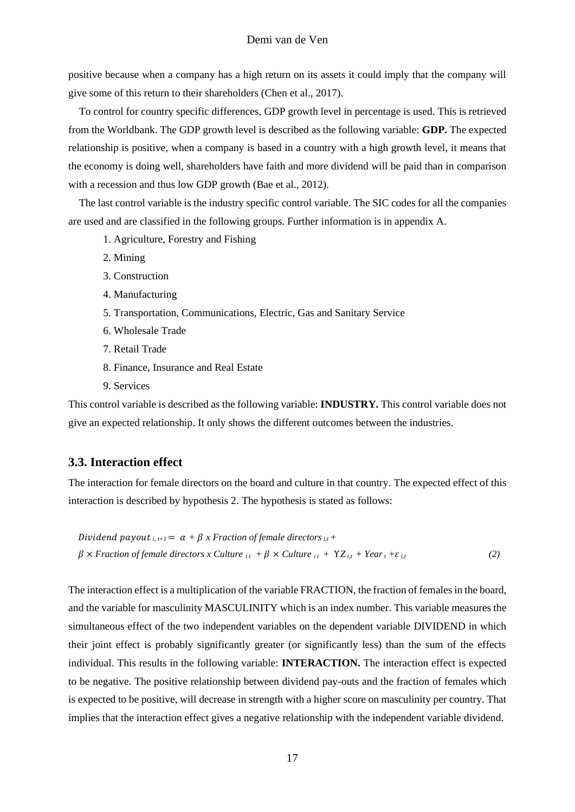positive because when a company has a high return on its assets it could imply that the company will give some of this return to their shareholders (Chen et al., 2017).

 To control for country specific differences, GDP growth level in percentage is used. This is retrieved from the Worldbank. The GDP growth level is described as the following variable: **GDP.** The expected relationship is positive, when a company is based in a country with a high growth level, it means that the economy is doing well, shareholders have faith and more dividend will be paid than in comparison with a recession and thus low GDP growth (Bae et al., 2012).

 The last control variable is the industry specific control variable. The SIC codes for all the companies are used and are classified in the following groups. Further information is in appendix A.

- 1. Agriculture, Forestry and Fishing
- 2. Mining
- 3. Construction
- 4. Manufacturing
- 5. Transportation, Communications, Electric, Gas and Sanitary Service
- 6. Wholesale Trade
- 7. Retail Trade
- 8. Finance, Insurance and Real Estate
- 9. Services

This control variable is described as the following variable: **INDUSTRY.** This control variable does not give an expected relationship. It only shows the different outcomes between the industries.

## <span id="page-16-0"></span>**3.3. Interaction effect**

The interaction for female directors on the board and culture in that country. The expected effect of this interaction is described by hypothesis 2. The hypothesis is stated as follows:

Dividend payout 
$$
i, i+1 = \alpha + \beta x
$$
 Fraction of female directory  $i, i + \beta \times Fraction$  of female directory  $i, i + \beta \times Culture$   $i, i + \gamma Z_{i,t} + Year_t + \varepsilon_{i,t}$  (2)

The interaction effect is a multiplication of the variable FRACTION, the fraction of females in the board, and the variable for masculinity MASCULINITY which is an index number. This variable measures the simultaneous effect of the two independent variables on the dependent variable DIVIDEND in which their joint effect is probably significantly greater (or significantly less) than the sum of the effects individual. This results in the following variable: **INTERACTION.** The interaction effect is expected to be negative. The positive relationship between dividend pay-outs and the fraction of females which is expected to be positive, will decrease in strength with a higher score on masculinity per country. That implies that the interaction effect gives a negative relationship with the independent variable dividend.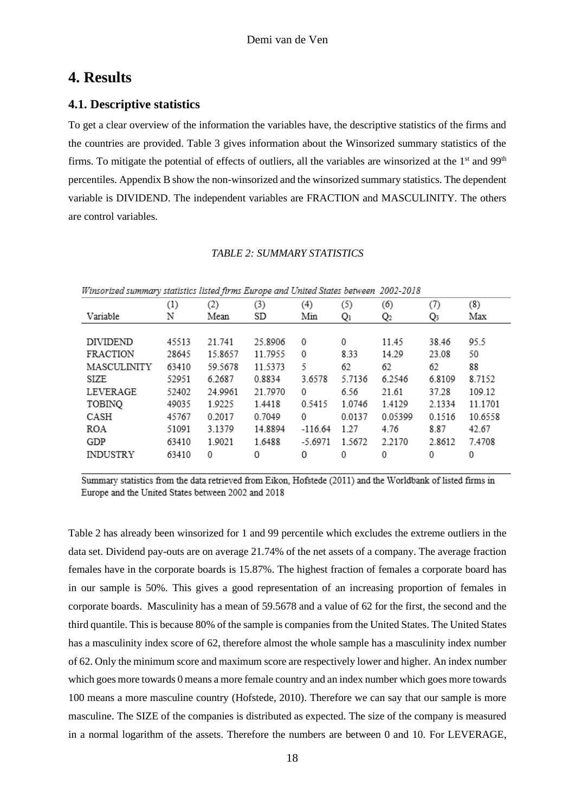# <span id="page-17-0"></span>**4. Results**

## <span id="page-17-1"></span>**4.1. Descriptive statistics**

To get a clear overview of the information the variables have, the descriptive statistics of the firms and the countries are provided. Table 3 gives information about the Winsorized summary statistics of the firms. To mitigate the potential of effects of outliers, all the variables are winsorized at the  $1<sup>st</sup>$  and 99<sup>th</sup> percentiles. Appendix B show the non-winsorized and the winsorized summary statistics. The dependent variable is DIVIDEND. The independent variables are FRACTION and MASCULINITY. The others are control variables.

| Winsorized summary statistics listed firms Europe and United States between 2002-2018 |       |          |         |           |        |         |        |         |
|---------------------------------------------------------------------------------------|-------|----------|---------|-----------|--------|---------|--------|---------|
|                                                                                       | (1)   | $^{(2)}$ | (3)     | $^{(4)}$  | (5)    | (6)     | (7)    | (8)     |
| Variable                                                                              | Ν     | Mean     | SD      | Min       | Qı     | Q2      | Q3     | Max     |
|                                                                                       |       |          |         |           |        |         |        |         |
| DIVIDEND                                                                              | 45513 | 21.741   | 25.8906 | 0         | 0      | 11.45   | 38.46  | 95.5    |
| <b>FRACTION</b>                                                                       | 28645 | 15.8657  | 11.7955 | 0         | 8.33   | 14.29   | 23.08  | 50      |
| MASCULINITY                                                                           | 63410 | 59.5678  | 11.5373 | 5         | 62     | 62      | 62     | 88      |
| SIZE                                                                                  | 52951 | 6.2687   | 0.8834  | 3.6578    | 5.7136 | 6.2546  | 6.8109 | 8.7152  |
| LEVERAGE                                                                              | 52402 | 24 9961  | 21.7970 | 0         | 6.56   | 21.61   | 37.28  | 109.12  |
| TOBINQ                                                                                | 49035 | 1.9225   | 1.4418  | 0.5415    | 1.0746 | 1.4129  | 2.1334 | 11.1701 |
| CASH                                                                                  | 45767 | 0.2017   | 0.7049  | 0         | 0.0137 | 0.05399 | 0.1516 | 10.6558 |
| ROA                                                                                   | 51091 | 3.1379   | 14.8894 | $-116.64$ | 1.27   | 4.76    | 8.87   | 42.67   |
| GDP                                                                                   | 63410 | 1.9021   | 1.6488  | $-5.6971$ | 1.5672 | 2.2170  | 2.8612 | 7.4708  |
| <b>INDUSTRY</b>                                                                       | 63410 | 0        | 0       | 0         | 0      | 0       | 0      | 0       |

#### *TABLE 2: SUMMARY STATISTICS*

 $\mathbf{r}$  and  $\mathbf{r}$  and  $\mathbf{r}$ 

Summary statistics from the data retrieved from Eikon, Hofstede (2011) and the Worldbank of listed firms in Europe and the United States between 2002 and 2018

Table 2 has already been winsorized for 1 and 99 percentile which excludes the extreme outliers in the data set. Dividend pay-outs are on average 21.74% of the net assets of a company. The average fraction females have in the corporate boards is 15.87%. The highest fraction of females a corporate board has in our sample is 50%. This gives a good representation of an increasing proportion of females in corporate boards. Masculinity has a mean of 59.5678 and a value of 62 for the first, the second and the third quantile. This is because 80% of the sample is companies from the United States. The United States has a masculinity index score of 62, therefore almost the whole sample has a masculinity index number of 62. Only the minimum score and maximum score are respectively lower and higher. An index number which goes more towards 0 means a more female country and an index number which goes more towards 100 means a more masculine country (Hofstede, 2010). Therefore we can say that our sample is more masculine. The SIZE of the companies is distributed as expected. The size of the company is measured in a normal logarithm of the assets. Therefore the numbers are between 0 and 10. For LEVERAGE,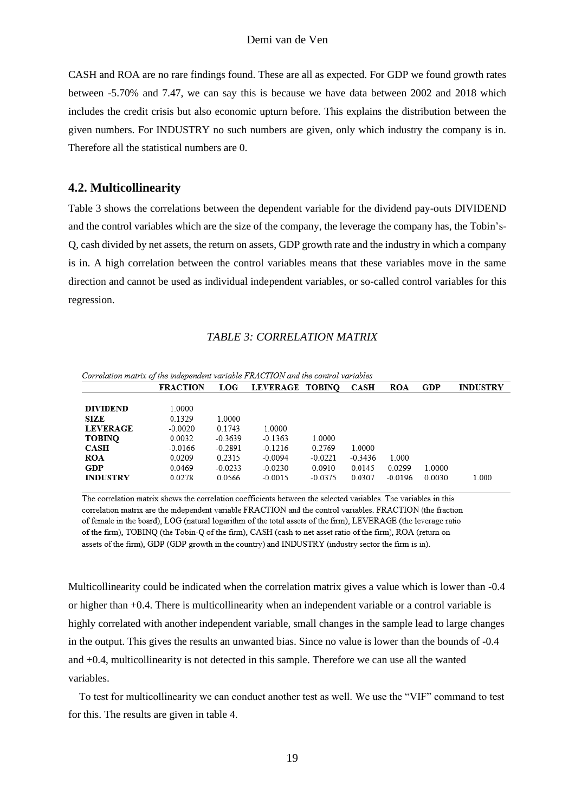CASH and ROA are no rare findings found. These are all as expected. For GDP we found growth rates between -5.70% and 7.47, we can say this is because we have data between 2002 and 2018 which includes the credit crisis but also economic upturn before. This explains the distribution between the given numbers. For INDUSTRY no such numbers are given, only which industry the company is in. Therefore all the statistical numbers are 0.

## <span id="page-18-0"></span>**4.2. Multicollinearity**

Table 3 shows the correlations between the dependent variable for the dividend pay-outs DIVIDEND and the control variables which are the size of the company, the leverage the company has, the Tobin's-Q, cash divided by net assets, the return on assets, GDP growth rate and the industry in which a company is in. A high correlation between the control variables means that these variables move in the same direction and cannot be used as individual independent variables, or so-called control variables for this regression.

## *TABLE 3: CORRELATION MATRIX*

|                 | Correlation matrix of the independent variable FRACTION and the control variables |           |                 |           |             |            |        |                 |
|-----------------|-----------------------------------------------------------------------------------|-----------|-----------------|-----------|-------------|------------|--------|-----------------|
|                 | <b>FRACTION</b>                                                                   | LOG       | LEVERAGE TOBINO |           | <b>CASH</b> | <b>ROA</b> | GDP    | <b>INDUSTRY</b> |
|                 |                                                                                   |           |                 |           |             |            |        |                 |
| <b>DIVIDEND</b> | 1.0000                                                                            |           |                 |           |             |            |        |                 |
| SIZE            | 0.1329                                                                            | 1.0000    |                 |           |             |            |        |                 |
| <b>LEVERAGE</b> | $-0.0020$                                                                         | 0.1743    | 1.0000          |           |             |            |        |                 |
| <b>TOBINO</b>   | 0.0032                                                                            | $-0.3639$ | $-0.1363$       | 1.0000    |             |            |        |                 |
| <b>CASH</b>     | $-0.0166$                                                                         | $-0.2891$ | $-0.1216$       | 0.2769    | 1.0000      |            |        |                 |
| <b>ROA</b>      | 0.0209                                                                            | 0.2315    | $-0.0094$       | $-0.0221$ | $-0.3436$   | 1.000      |        |                 |
| GDP             | 0.0469                                                                            | $-0.0233$ | $-0.0230$       | 0.0910    | 0.0145      | 0.0299     | 1.0000 |                 |
| <b>INDUSTRY</b> | 0.0278                                                                            | 0.0566    | $-0.0015$       | $-0.0375$ | 0.0307      | $-0.0196$  | 0.0030 | 1.000           |

The correlation matrix shows the correlation coefficients between the selected variables. The variables in this correlation matrix are the independent variable FRACTION and the control variables. FRACTION (the fraction of female in the board), LOG (natural logarithm of the total assets of the firm), LEVERAGE (the leverage ratio of the firm), TOBINQ (the Tobin-Q of the firm), CASH (cash to net asset ratio of the firm), ROA (return on assets of the firm), GDP (GDP growth in the country) and INDUSTRY (industry sector the firm is in).

Multicollinearity could be indicated when the correlation matrix gives a value which is lower than -0.4 or higher than +0.4. There is multicollinearity when an independent variable or a control variable is highly correlated with another independent variable, small changes in the sample lead to large changes in the output. This gives the results an unwanted bias. Since no value is lower than the bounds of -0.4 and +0.4, multicollinearity is not detected in this sample. Therefore we can use all the wanted variables.

 To test for multicollinearity we can conduct another test as well. We use the "VIF" command to test for this. The results are given in table 4.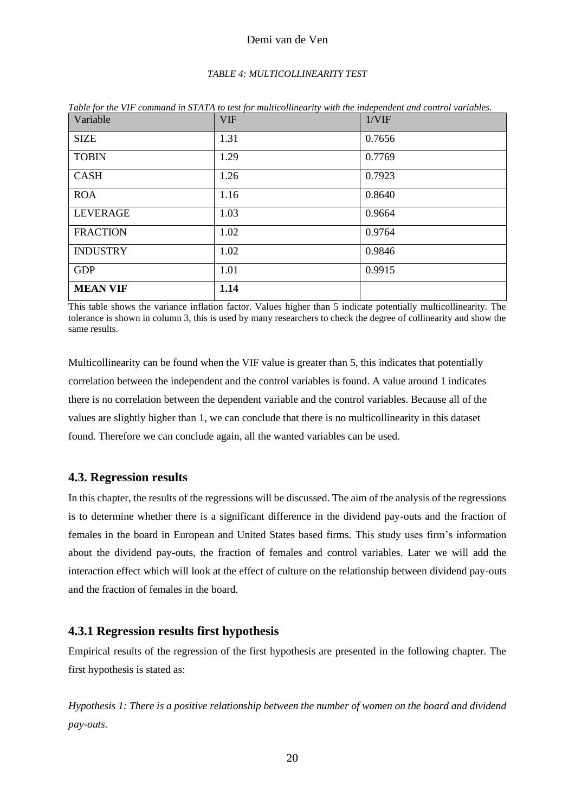## Demi van de Ven

#### *TABLE 4: MULTICOLLINEARITY TEST*

| Variable        | rected for the transformation of the control term for interactional interaction and common restaurant<br><b>VIF</b> | 1/VIF  |
|-----------------|---------------------------------------------------------------------------------------------------------------------|--------|
| <b>SIZE</b>     | 1.31                                                                                                                | 0.7656 |
| <b>TOBIN</b>    | 1.29                                                                                                                | 0.7769 |
| <b>CASH</b>     | 1.26                                                                                                                | 0.7923 |
| <b>ROA</b>      | 1.16                                                                                                                | 0.8640 |
| <b>LEVERAGE</b> | 1.03                                                                                                                | 0.9664 |
| <b>FRACTION</b> | 1.02                                                                                                                | 0.9764 |
| <b>INDUSTRY</b> | 1.02                                                                                                                | 0.9846 |
| <b>GDP</b>      | 1.01                                                                                                                | 0.9915 |
| <b>MEAN VIF</b> | 1.14                                                                                                                |        |

*Table for the VIF command in STATA to test for multicollinearity with the independent and control variables.*

This table shows the variance inflation factor. Values higher than 5 indicate potentially multicollinearity. The tolerance is shown in column 3, this is used by many researchers to check the degree of collinearity and show the same results.

Multicollinearity can be found when the VIF value is greater than 5, this indicates that potentially correlation between the independent and the control variables is found. A value around 1 indicates there is no correlation between the dependent variable and the control variables. Because all of the values are slightly higher than 1, we can conclude that there is no multicollinearity in this dataset found. Therefore we can conclude again, all the wanted variables can be used.

## <span id="page-19-0"></span>**4.3. Regression results**

In this chapter, the results of the regressions will be discussed. The aim of the analysis of the regressions is to determine whether there is a significant difference in the dividend pay-outs and the fraction of females in the board in European and United States based firms. This study uses firm's information about the dividend pay-outs, the fraction of females and control variables. Later we will add the interaction effect which will look at the effect of culture on the relationship between dividend pay-outs and the fraction of females in the board.

## <span id="page-19-1"></span>**4.3.1 Regression results first hypothesis**

Empirical results of the regression of the first hypothesis are presented in the following chapter. The first hypothesis is stated as:

*Hypothesis 1: There is a positive relationship between the number of women on the board and dividend pay-outs.*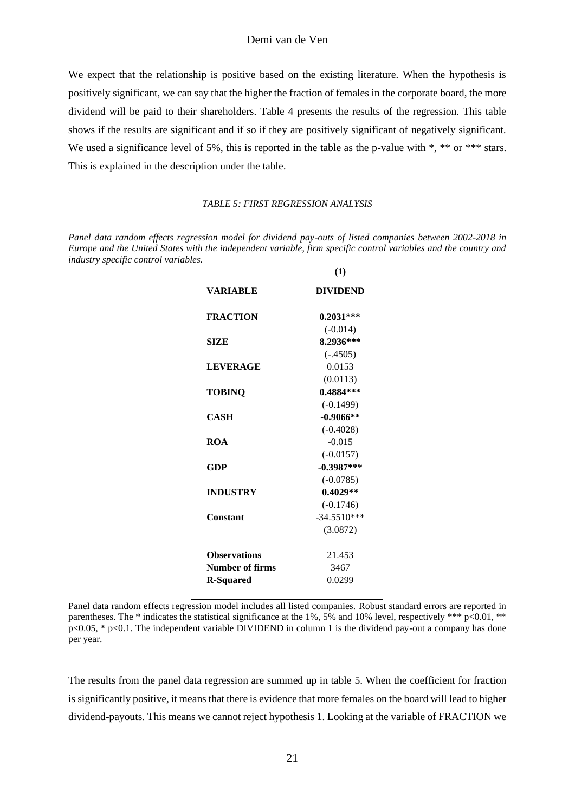We expect that the relationship is positive based on the existing literature. When the hypothesis is positively significant, we can say that the higher the fraction of females in the corporate board, the more dividend will be paid to their shareholders. Table 4 presents the results of the regression. This table shows if the results are significant and if so if they are positively significant of negatively significant. We used a significance level of 5%, this is reported in the table as the p-value with  $*, **$  or  $***$  stars. This is explained in the description under the table.

#### *TABLE 5: FIRST REGRESSION ANALYSIS*

*Panel data random effects regression model for dividend pay-outs of listed companies between 2002-2018 in Europe and the United States with the independent variable, firm specific control variables and the country and industry specific control variables.* 

|                     | (1)             |
|---------------------|-----------------|
| VARIABLE            | <b>DIVIDEND</b> |
|                     |                 |
| <b>FRACTION</b>     | $0.2031***$     |
|                     | $(-0.014)$      |
| <b>SIZE</b>         | 8.2936***       |
|                     | $(-.4505)$      |
| <b>LEVERAGE</b>     | 0.0153          |
|                     | (0.0113)        |
| <b>TOBINQ</b>       | $0.4884***$     |
|                     | $(-0.1499)$     |
| CASH                | $-0.9066**$     |
|                     | $(-0.4028)$     |
| <b>ROA</b>          | $-0.015$        |
|                     | $(-0.0157)$     |
| GDP                 | $-0.3987***$    |
|                     | $(-0.0785)$     |
| <b>INDUSTRY</b>     | $0.4029**$      |
|                     | $(-0.1746)$     |
| Constant            | $-34.5510***$   |
|                     | (3.0872)        |
| <b>Observations</b> | 21.453          |
| Number of firms     | 3467            |
| <b>R-Squared</b>    | 0.0299          |
|                     |                 |

Panel data random effects regression model includes all listed companies. Robust standard errors are reported in parentheses. The  $*$  indicates the statistical significance at the 1%, 5% and 10% level, respectively  $***$  p<0.01,  $**$  $p<0.05$ , \*  $p<0.1$ . The independent variable DIVIDEND in column 1 is the dividend pay-out a company has done per year.

The results from the panel data regression are summed up in table 5. When the coefficient for fraction is significantly positive, it means that there is evidence that more females on the board will lead to higher dividend-payouts. This means we cannot reject hypothesis 1. Looking at the variable of FRACTION we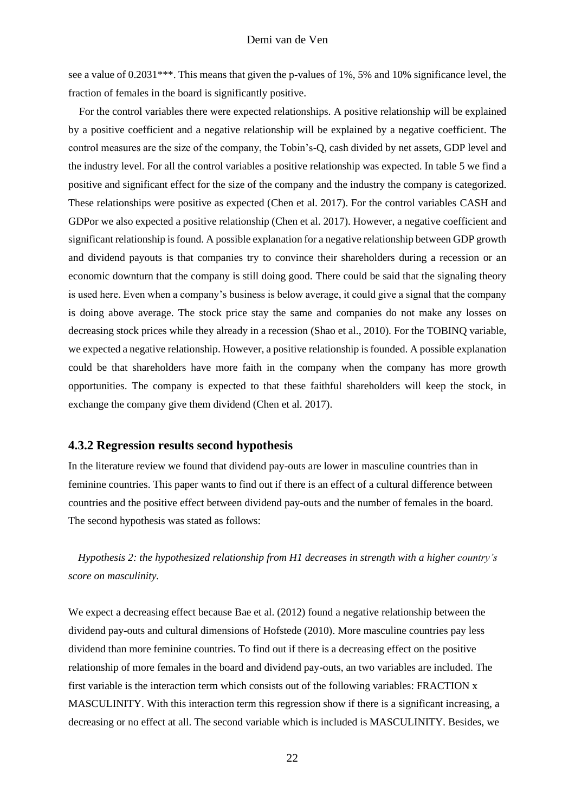see a value of 0.2031\*\*\*. This means that given the p-values of 1%, 5% and 10% significance level, the fraction of females in the board is significantly positive.

 For the control variables there were expected relationships. A positive relationship will be explained by a positive coefficient and a negative relationship will be explained by a negative coefficient. The control measures are the size of the company, the Tobin's-Q, cash divided by net assets, GDP level and the industry level. For all the control variables a positive relationship was expected. In table 5 we find a positive and significant effect for the size of the company and the industry the company is categorized. These relationships were positive as expected (Chen et al. 2017). For the control variables CASH and GDPor we also expected a positive relationship (Chen et al. 2017). However, a negative coefficient and significant relationship is found. A possible explanation for a negative relationship between GDP growth and dividend payouts is that companies try to convince their shareholders during a recession or an economic downturn that the company is still doing good. There could be said that the signaling theory is used here. Even when a company's business is below average, it could give a signal that the company is doing above average. The stock price stay the same and companies do not make any losses on decreasing stock prices while they already in a recession (Shao et al., 2010). For the TOBINQ variable, we expected a negative relationship. However, a positive relationship is founded. A possible explanation could be that shareholders have more faith in the company when the company has more growth opportunities. The company is expected to that these faithful shareholders will keep the stock, in exchange the company give them dividend (Chen et al. 2017).

## <span id="page-21-0"></span>**4.3.2 Regression results second hypothesis**

In the literature review we found that dividend pay-outs are lower in masculine countries than in feminine countries. This paper wants to find out if there is an effect of a cultural difference between countries and the positive effect between dividend pay-outs and the number of females in the board. The second hypothesis was stated as follows:

*Hypothesis 2: the hypothesized relationship from H1 decreases in strength with a higher country's score on masculinity.* 

We expect a decreasing effect because Bae et al. (2012) found a negative relationship between the dividend pay-outs and cultural dimensions of Hofstede (2010). More masculine countries pay less dividend than more feminine countries. To find out if there is a decreasing effect on the positive relationship of more females in the board and dividend pay-outs, an two variables are included. The first variable is the interaction term which consists out of the following variables: FRACTION x MASCULINITY. With this interaction term this regression show if there is a significant increasing, a decreasing or no effect at all. The second variable which is included is MASCULINITY. Besides, we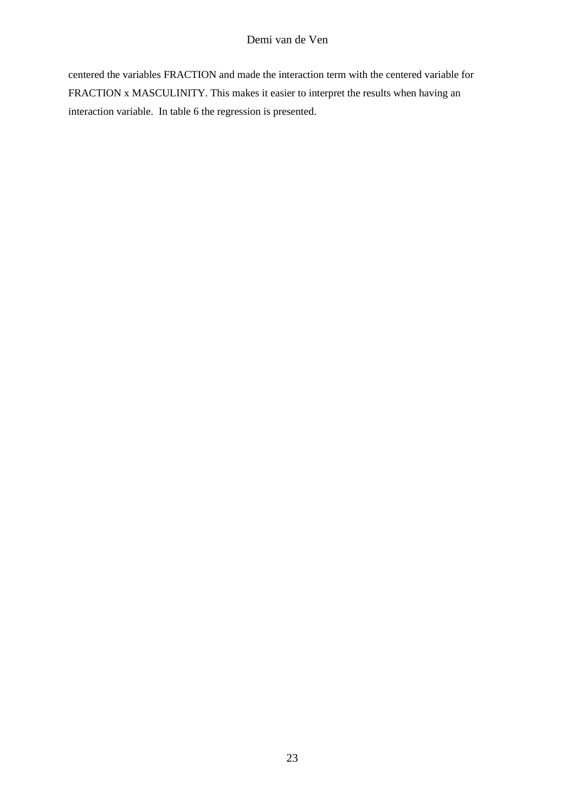centered the variables FRACTION and made the interaction term with the centered variable for FRACTION x MASCULINITY. This makes it easier to interpret the results when having an interaction variable. In table 6 the regression is presented.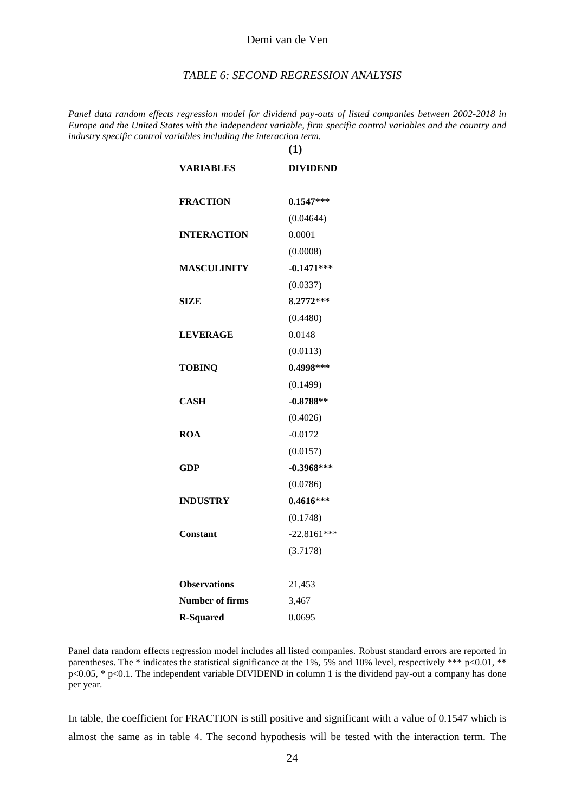## Demi van de Ven

## *TABLE 6: SECOND REGRESSION ANALYSIS*

*Panel data random effects regression model for dividend pay-outs of listed companies between 2002-2018 in Europe and the United States with the independent variable, firm specific control variables and the country and industry specific control variables including the interaction term.* **(1)**

|                        | W               |
|------------------------|-----------------|
| <b>VARIABLES</b>       | <b>DIVIDEND</b> |
|                        |                 |
| <b>FRACTION</b>        | $0.1547***$     |
|                        | (0.04644)       |
| <b>INTERACTION</b>     | 0.0001          |
|                        | (0.0008)        |
| <b>MASCULINITY</b>     | $-0.1471***$    |
|                        | (0.0337)        |
| SIZE                   | 8.2772***       |
|                        | (0.4480)        |
| <b>LEVERAGE</b>        | 0.0148          |
|                        | (0.0113)        |
| <b>TOBINQ</b>          | 0.4998***       |
|                        | (0.1499)        |
| <b>CASH</b>            | $-0.8788**$     |
|                        | (0.4026)        |
| <b>ROA</b>             | $-0.0172$       |
|                        | (0.0157)        |
| GDP                    | $-0.3968***$    |
|                        | (0.0786)        |
| <b>INDUSTRY</b>        | $0.4616***$     |
|                        | (0.1748)        |
| Constant               | $-22.8161***$   |
|                        | (3.7178)        |
|                        |                 |
| <b>Observations</b>    | 21,453          |
| <b>Number of firms</b> | 3,467           |
| <b>R-Squared</b>       | 0.0695          |
|                        |                 |

Panel data random effects regression model includes all listed companies. Robust standard errors are reported in parentheses. The \* indicates the statistical significance at the 1%, 5% and 10% level, respectively \*\*\* p<0.01, \*\*  $p<0.05$ , \*  $p<0.1$ . The independent variable DIVIDEND in column 1 is the dividend pay-out a company has done per year.

In table, the coefficient for FRACTION is still positive and significant with a value of 0.1547 which is almost the same as in table 4. The second hypothesis will be tested with the interaction term. The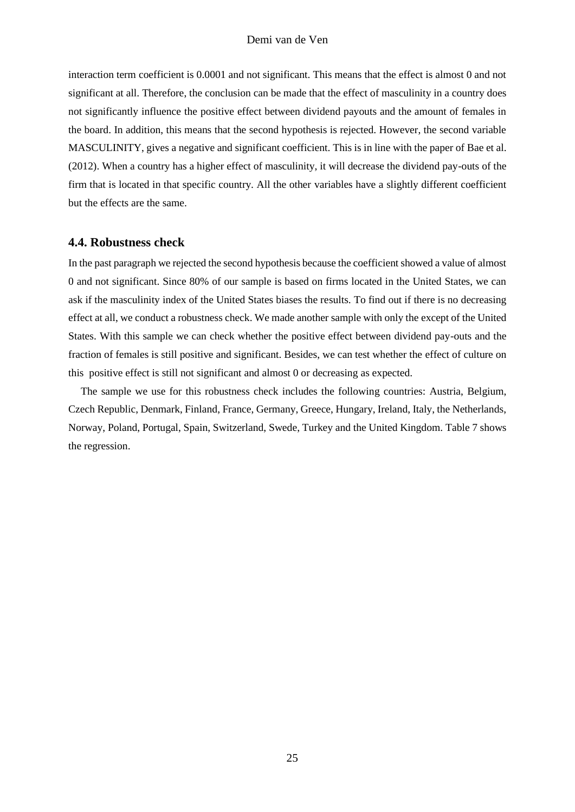interaction term coefficient is 0.0001 and not significant. This means that the effect is almost 0 and not significant at all. Therefore, the conclusion can be made that the effect of masculinity in a country does not significantly influence the positive effect between dividend payouts and the amount of females in the board. In addition, this means that the second hypothesis is rejected. However, the second variable MASCULINITY, gives a negative and significant coefficient. This is in line with the paper of Bae et al. (2012). When a country has a higher effect of masculinity, it will decrease the dividend pay-outs of the firm that is located in that specific country. All the other variables have a slightly different coefficient but the effects are the same.

## <span id="page-24-0"></span>**4.4. Robustness check**

In the past paragraph we rejected the second hypothesis because the coefficient showed a value of almost 0 and not significant. Since 80% of our sample is based on firms located in the United States, we can ask if the masculinity index of the United States biases the results. To find out if there is no decreasing effect at all, we conduct a robustness check. We made another sample with only the except of the United States. With this sample we can check whether the positive effect between dividend pay-outs and the fraction of females is still positive and significant. Besides, we can test whether the effect of culture on this positive effect is still not significant and almost 0 or decreasing as expected.

The sample we use for this robustness check includes the following countries: Austria, Belgium, Czech Republic, Denmark, Finland, France, Germany, Greece, Hungary, Ireland, Italy, the Netherlands, Norway, Poland, Portugal, Spain, Switzerland, Swede, Turkey and the United Kingdom. Table 7 shows the regression.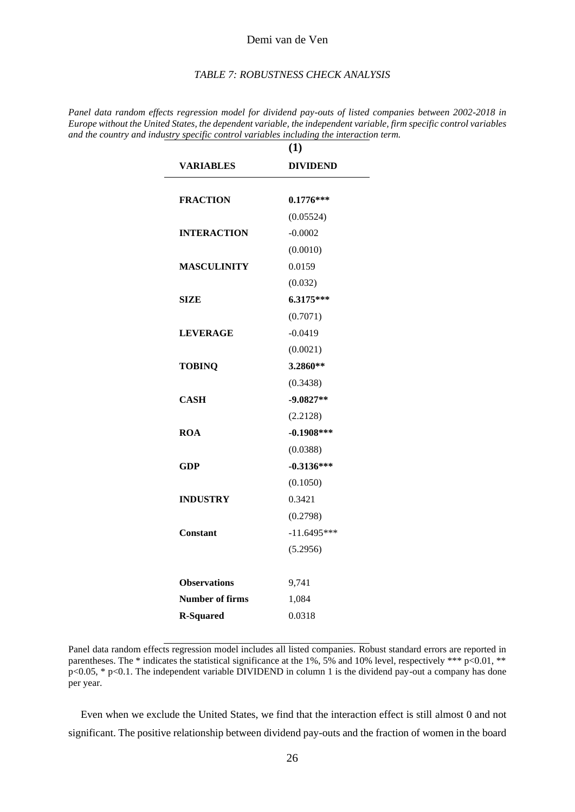## Demi van de Ven

#### *TABLE 7: ROBUSTNESS CHECK ANALYSIS*

*Panel data random effects regression model for dividend pay-outs of listed companies between 2002-2018 in Europe without the United States, the dependent variable, the independent variable, firm specific control variables and the country and industry specific control variables including the interaction term.*

**(1)**

| (1)             |
|-----------------|
| <b>DIVIDEND</b> |
|                 |
| $0.1776***$     |
| (0.05524)       |
| $-0.0002$       |
| (0.0010)        |
| 0.0159          |
| (0.032)         |
| 6.3175***       |
| (0.7071)        |
| $-0.0419$       |
| (0.0021)        |
| 3.2860**        |
| (0.3438)        |
| $-9.0827**$     |
| (2.2128)        |
| $-0.1908***$    |
| (0.0388)        |
| $-0.3136***$    |
| (0.1050)        |
| 0.3421          |
| (0.2798)        |
| $-11.6495***$   |
| (5.2956)        |
|                 |
| 9,741           |
| 1,084           |
| 0.0318          |
|                 |

Panel data random effects regression model includes all listed companies. Robust standard errors are reported in parentheses. The \* indicates the statistical significance at the 1%, 5% and 10% level, respectively \*\*\* p<0.01, \*\*  $p<0.05$ , \*  $p<0.1$ . The independent variable DIVIDEND in column 1 is the dividend pay-out a company has done per year.

Even when we exclude the United States, we find that the interaction effect is still almost 0 and not significant. The positive relationship between dividend pay-outs and the fraction of women in the board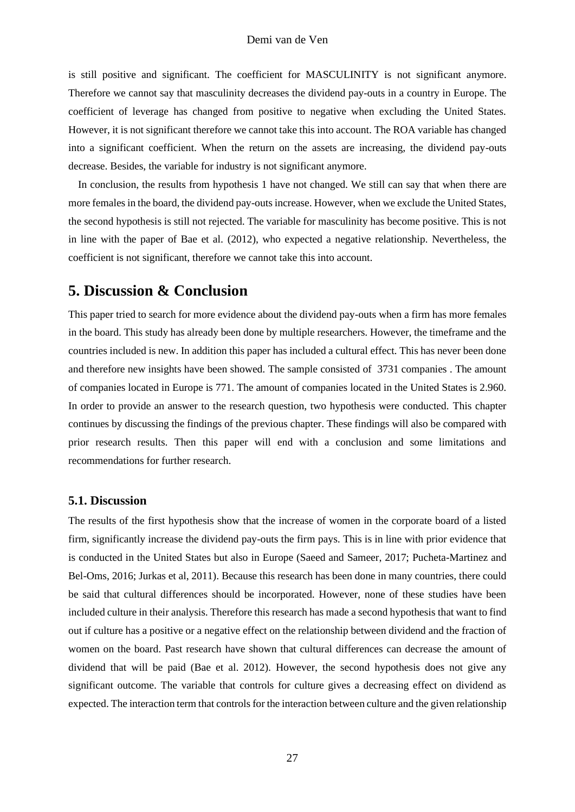is still positive and significant. The coefficient for MASCULINITY is not significant anymore. Therefore we cannot say that masculinity decreases the dividend pay-outs in a country in Europe. The coefficient of leverage has changed from positive to negative when excluding the United States. However, it is not significant therefore we cannot take this into account. The ROA variable has changed into a significant coefficient. When the return on the assets are increasing, the dividend pay-outs decrease. Besides, the variable for industry is not significant anymore.

In conclusion, the results from hypothesis 1 have not changed. We still can say that when there are more females in the board, the dividend pay-outs increase. However, when we exclude the United States, the second hypothesis is still not rejected. The variable for masculinity has become positive. This is not in line with the paper of Bae et al. (2012), who expected a negative relationship. Nevertheless, the coefficient is not significant, therefore we cannot take this into account.

## <span id="page-26-0"></span>**5. Discussion & Conclusion**

This paper tried to search for more evidence about the dividend pay-outs when a firm has more females in the board. This study has already been done by multiple researchers. However, the timeframe and the countries included is new. In addition this paper has included a cultural effect. This has never been done and therefore new insights have been showed. The sample consisted of 3731 companies . The amount of companies located in Europe is 771. The amount of companies located in the United States is 2.960. In order to provide an answer to the research question, two hypothesis were conducted. This chapter continues by discussing the findings of the previous chapter. These findings will also be compared with prior research results. Then this paper will end with a conclusion and some limitations and recommendations for further research.

## <span id="page-26-1"></span>**5.1. Discussion**

The results of the first hypothesis show that the increase of women in the corporate board of a listed firm, significantly increase the dividend pay-outs the firm pays. This is in line with prior evidence that is conducted in the United States but also in Europe (Saeed and Sameer, 2017; Pucheta-Martinez and Bel-Oms, 2016; Jurkas et al, 2011). Because this research has been done in many countries, there could be said that cultural differences should be incorporated. However, none of these studies have been included culture in their analysis. Therefore this research has made a second hypothesis that want to find out if culture has a positive or a negative effect on the relationship between dividend and the fraction of women on the board. Past research have shown that cultural differences can decrease the amount of dividend that will be paid (Bae et al. 2012). However, the second hypothesis does not give any significant outcome. The variable that controls for culture gives a decreasing effect on dividend as expected. The interaction term that controls for the interaction between culture and the given relationship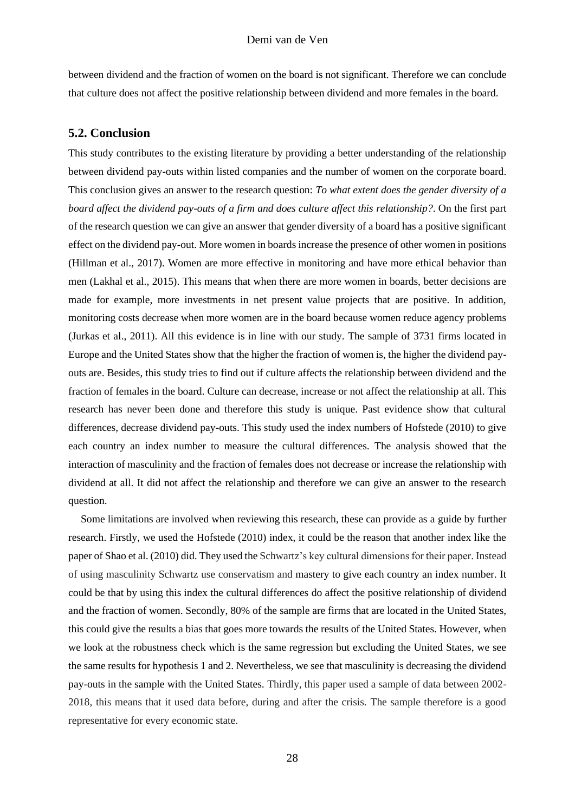between dividend and the fraction of women on the board is not significant. Therefore we can conclude that culture does not affect the positive relationship between dividend and more females in the board.

## <span id="page-27-0"></span>**5.2. Conclusion**

This study contributes to the existing literature by providing a better understanding of the relationship between dividend pay-outs within listed companies and the number of women on the corporate board. This conclusion gives an answer to the research question: *To what extent does the gender diversity of a board affect the dividend pay-outs of a firm and does culture affect this relationship?*. On the first part of the research question we can give an answer that gender diversity of a board has a positive significant effect on the dividend pay-out. More women in boards increase the presence of other women in positions (Hillman et al., 2017). Women are more effective in monitoring and have more ethical behavior than men (Lakhal et al., 2015). This means that when there are more women in boards, better decisions are made for example, more investments in net present value projects that are positive. In addition, monitoring costs decrease when more women are in the board because women reduce agency problems (Jurkas et al., 2011). All this evidence is in line with our study. The sample of 3731 firms located in Europe and the United States show that the higher the fraction of women is, the higher the dividend payouts are. Besides, this study tries to find out if culture affects the relationship between dividend and the fraction of females in the board. Culture can decrease, increase or not affect the relationship at all. This research has never been done and therefore this study is unique. Past evidence show that cultural differences, decrease dividend pay-outs. This study used the index numbers of Hofstede (2010) to give each country an index number to measure the cultural differences. The analysis showed that the interaction of masculinity and the fraction of females does not decrease or increase the relationship with dividend at all. It did not affect the relationship and therefore we can give an answer to the research question.

Some limitations are involved when reviewing this research, these can provide as a guide by further research. Firstly, we used the Hofstede (2010) index, it could be the reason that another index like the paper of Shao et al. (2010) did. They used the Schwartz's key cultural dimensions for their paper. Instead of using masculinity Schwartz use conservatism and mastery to give each country an index number. It could be that by using this index the cultural differences do affect the positive relationship of dividend and the fraction of women. Secondly, 80% of the sample are firms that are located in the United States, this could give the results a bias that goes more towards the results of the United States. However, when we look at the robustness check which is the same regression but excluding the United States, we see the same results for hypothesis 1 and 2. Nevertheless, we see that masculinity is decreasing the dividend pay-outs in the sample with the United States. Thirdly, this paper used a sample of data between 2002- 2018, this means that it used data before, during and after the crisis. The sample therefore is a good representative for every economic state.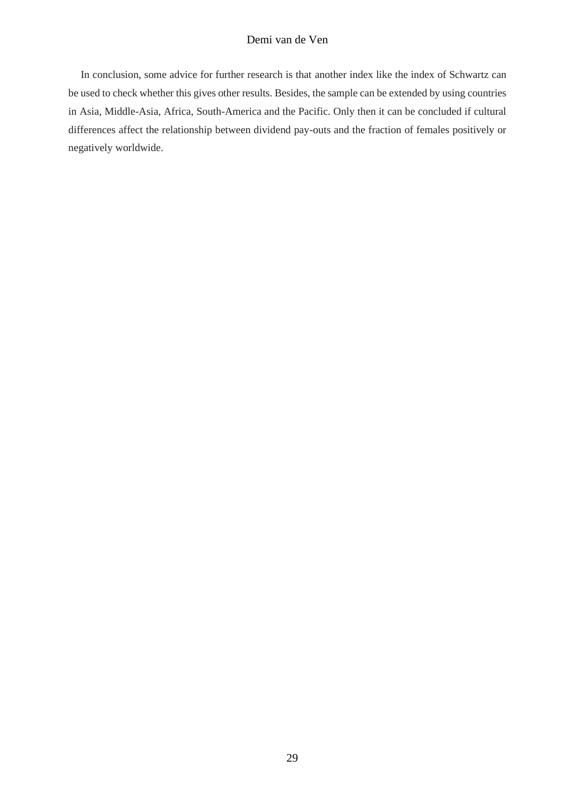## Demi van de Ven

In conclusion, some advice for further research is that another index like the index of Schwartz can be used to check whether this gives other results. Besides, the sample can be extended by using countries in Asia, Middle-Asia, Africa, South-America and the Pacific. Only then it can be concluded if cultural differences affect the relationship between dividend pay-outs and the fraction of females positively or negatively worldwide.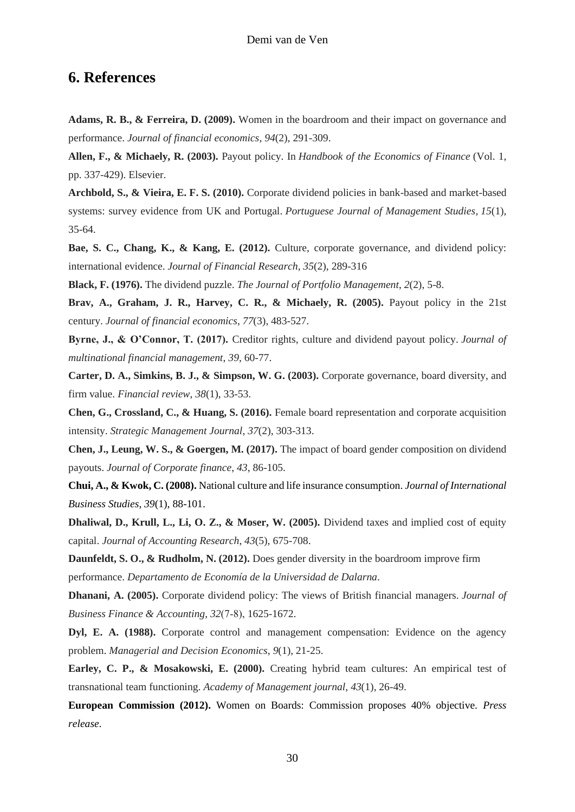# <span id="page-29-0"></span>**6. References**

**Adams, R. B., & Ferreira, D. (2009).** Women in the boardroom and their impact on governance and performance. *Journal of financial economics*, *94*(2), 291-309.

**Allen, F., & Michaely, R. (2003).** Payout policy. In *Handbook of the Economics of Finance* (Vol. 1, pp. 337-429). Elsevier.

**Archbold, S., & Vieira, E. F. S. (2010).** Corporate dividend policies in bank-based and market-based systems: survey evidence from UK and Portugal. *Portuguese Journal of Management Studies*, *15*(1), 35-64.

**Bae, S. C., Chang, K., & Kang, E. (2012).** Culture, corporate governance, and dividend policy: international evidence. *Journal of Financial Research*, *35*(2), 289-316

**Black, F. (1976).** The dividend puzzle. *The Journal of Portfolio Management*, *2*(2), 5-8.

**Brav, A., Graham, J. R., Harvey, C. R., & Michaely, R. (2005).** Payout policy in the 21st century. *Journal of financial economics*, *77*(3), 483-527.

**Byrne, J., & O'Connor, T. (2017).** Creditor rights, culture and dividend payout policy. *Journal of multinational financial management*, *39*, 60-77.

**Carter, D. A., Simkins, B. J., & Simpson, W. G. (2003).** Corporate governance, board diversity, and firm value. *Financial review*, *38*(1), 33-53.

**Chen, G., Crossland, C., & Huang, S. (2016).** Female board representation and corporate acquisition intensity. *Strategic Management Journal*, *37*(2), 303-313.

**Chen, J., Leung, W. S., & Goergen, M. (2017).** The impact of board gender composition on dividend payouts. *Journal of Corporate finance*, *43*, 86-105.

**Chui, A., & Kwok, C. (2008).** National culture and life insurance consumption. *Journal of International Business Studies, 39*(1), 88-101.

**Dhaliwal, D., Krull, L., Li, O. Z., & Moser, W. (2005).** Dividend taxes and implied cost of equity capital. *Journal of Accounting Research*, *43*(5), 675-708.

**Daunfeldt, S. O., & Rudholm, N. (2012).** Does gender diversity in the boardroom improve firm performance. *Departamento de Economía de la Universidad de Dalarna*.

**Dhanani, A. (2005).** Corporate dividend policy: The views of British financial managers. *Journal of Business Finance & Accounting*, *32*(7‐8), 1625-1672.

**Dyl, E. A. (1988).** Corporate control and management compensation: Evidence on the agency problem. *Managerial and Decision Economics*, *9*(1), 21-25.

**Earley, C. P., & Mosakowski, E. (2000).** Creating hybrid team cultures: An empirical test of transnational team functioning. *Academy of Management journal*, *43*(1), 26-49.

**European Commission (2012).** Women on Boards: Commission proposes 40% objective*. Press release.*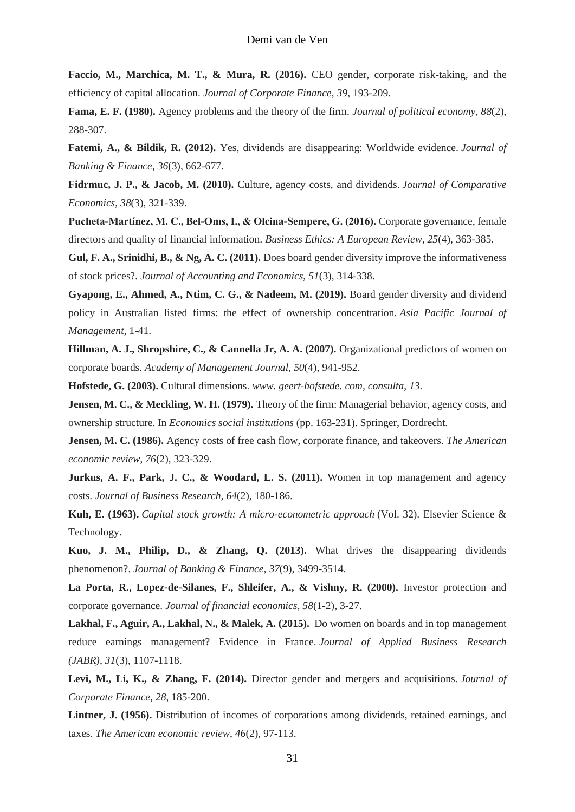**Faccio, M., Marchica, M. T., & Mura, R. (2016).** CEO gender, corporate risk-taking, and the efficiency of capital allocation. *Journal of Corporate Finance*, *39*, 193-209.

**Fama, E. F. (1980).** Agency problems and the theory of the firm. *Journal of political economy*, *88*(2), 288-307.

**Fatemi, A., & Bildik, R. (2012).** Yes, dividends are disappearing: Worldwide evidence. *Journal of Banking & Finance*, *36*(3), 662-677.

**Fidrmuc, J. P., & Jacob, M. (2010).** Culture, agency costs, and dividends. *Journal of Comparative Economics*, *38*(3), 321-339.

**Pucheta‐Martínez, M. C., Bel‐Oms, I., & Olcina‐Sempere, G. (2016).** Corporate governance, female directors and quality of financial information. *Business Ethics: A European Review*, *25*(4), 363-385.

**Gul, F. A., Srinidhi, B., & Ng, A. C. (2011).** Does board gender diversity improve the informativeness of stock prices?. *Journal of Accounting and Economics*, *51*(3), 314-338.

**Gyapong, E., Ahmed, A., Ntim, C. G., & Nadeem, M. (2019).** Board gender diversity and dividend policy in Australian listed firms: the effect of ownership concentration. *Asia Pacific Journal of Management*, 1-41.

**Hillman, A. J., Shropshire, C., & Cannella Jr, A. A. (2007).** Organizational predictors of women on corporate boards. *Academy of Management Journal*, *50*(4), 941-952.

**Hofstede, G. (2003).** Cultural dimensions. *www. geert-hofstede. com, consulta*, *13*.

**Jensen, M. C., & Meckling, W. H. (1979).** Theory of the firm: Managerial behavior, agency costs, and ownership structure. In *Economics social institutions* (pp. 163-231). Springer, Dordrecht.

**Jensen, M. C. (1986).** Agency costs of free cash flow, corporate finance, and takeovers. *The American economic review*, *76*(2), 323-329.

**Jurkus, A. F., Park, J. C., & Woodard, L. S. (2011).** Women in top management and agency costs. *Journal of Business Research*, *64*(2), 180-186.

**Kuh, E. (1963).** *Capital stock growth: A micro-econometric approach* (Vol. 32). Elsevier Science & Technology.

**Kuo, J. M., Philip, D., & Zhang, Q. (2013).** What drives the disappearing dividends phenomenon?. *Journal of Banking & Finance*, *37*(9), 3499-3514.

**La Porta, R., Lopez-de-Silanes, F., Shleifer, A., & Vishny, R. (2000).** Investor protection and corporate governance. *Journal of financial economics*, *58*(1-2), 3-27.

**Lakhal, F., Aguir, A., Lakhal, N., & Malek, A. (2015).** Do women on boards and in top management reduce earnings management? Evidence in France. *Journal of Applied Business Research (JABR)*, *31*(3), 1107-1118.

**Levi, M., Li, K., & Zhang, F. (2014).** Director gender and mergers and acquisitions. *Journal of Corporate Finance*, *28*, 185-200.

**Lintner, J. (1956).** Distribution of incomes of corporations among dividends, retained earnings, and taxes. *The American economic review*, *46*(2), 97-113.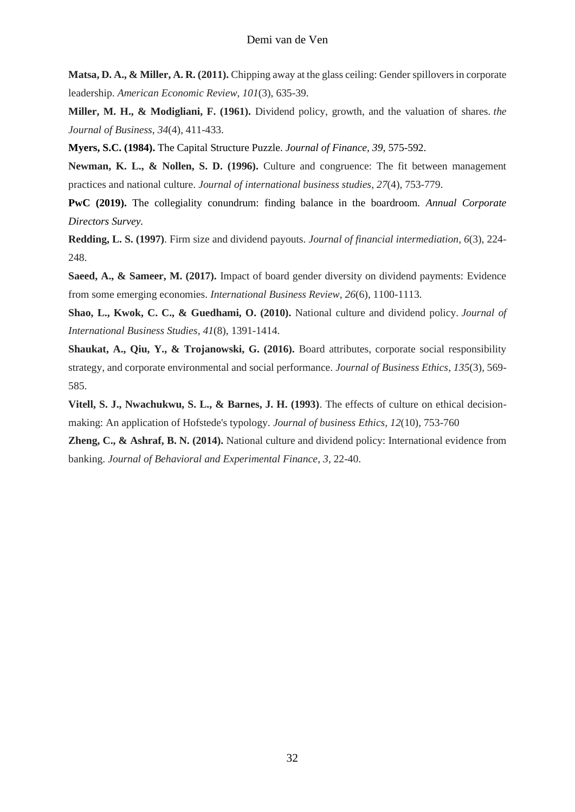**Matsa, D. A., & Miller, A. R. (2011).** Chipping away at the glass ceiling: Gender spillovers in corporate leadership. *American Economic Review*, *101*(3), 635-39.

**Miller, M. H., & Modigliani, F. (1961).** Dividend policy, growth, and the valuation of shares. *the Journal of Business*, *34*(4), 411-433.

**Myers, S.C. (1984).** The Capital Structure Puzzle. *Journal of Finance, 39*, 575-592.

**Newman, K. L., & Nollen, S. D. (1996).** Culture and congruence: The fit between management practices and national culture. *Journal of international business studies*, *27*(4), 753-779.

**PwC (2019).** The collegiality conundrum: finding balance in the boardroom. *Annual Corporate Directors Survey.* 

**Redding, L. S. (1997)**. Firm size and dividend payouts. *Journal of financial intermediation*, *6*(3), 224- 248.

**Saeed, A., & Sameer, M. (2017).** Impact of board gender diversity on dividend payments: Evidence from some emerging economies. *International Business Review*, *26*(6), 1100-1113.

**Shao, L., Kwok, C. C., & Guedhami, O. (2010).** National culture and dividend policy. *Journal of International Business Studies*, *41*(8), 1391-1414.

**Shaukat, A., Qiu, Y., & Trojanowski, G. (2016).** Board attributes, corporate social responsibility strategy, and corporate environmental and social performance. *Journal of Business Ethics*, *135*(3), 569- 585.

**Vitell, S. J., Nwachukwu, S. L., & Barnes, J. H. (1993)**. The effects of culture on ethical decisionmaking: An application of Hofstede's typology. *Journal of business Ethics*, *12*(10), 753-760

**Zheng, C., & Ashraf, B. N. (2014).** National culture and dividend policy: International evidence from banking. *Journal of Behavioral and Experimental Finance*, *3*, 22-40.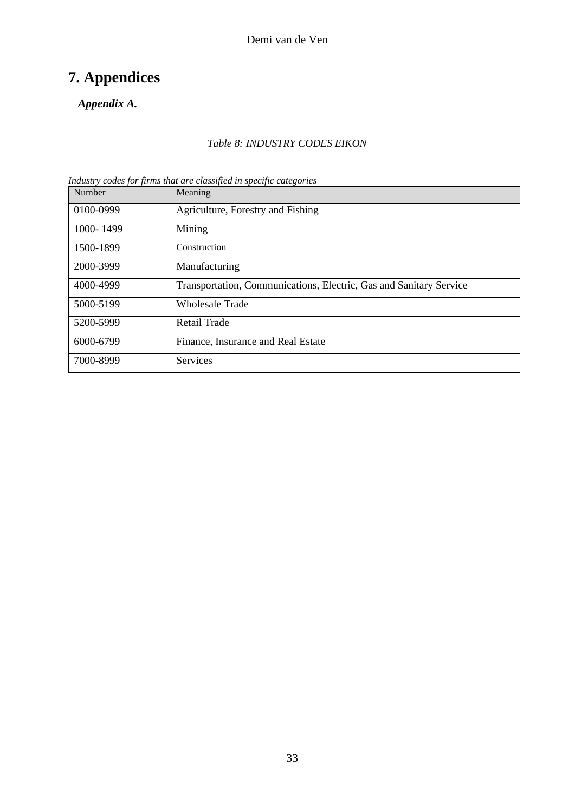# <span id="page-32-0"></span>**7. Appendices**

<span id="page-32-1"></span>*Appendix A.*

## *Table 8: INDUSTRY CODES EIKON*

*Industry codes for firms that are classified in specific categories* 

| Number    | Meaning                                                            |
|-----------|--------------------------------------------------------------------|
| 0100-0999 | Agriculture, Forestry and Fishing                                  |
| 1000-1499 | Mining                                                             |
| 1500-1899 | Construction                                                       |
| 2000-3999 | Manufacturing                                                      |
| 4000-4999 | Transportation, Communications, Electric, Gas and Sanitary Service |
| 5000-5199 | Wholesale Trade                                                    |
| 5200-5999 | <b>Retail Trade</b>                                                |
| 6000-6799 | Finance, Insurance and Real Estate                                 |
| 7000-8999 | Services                                                           |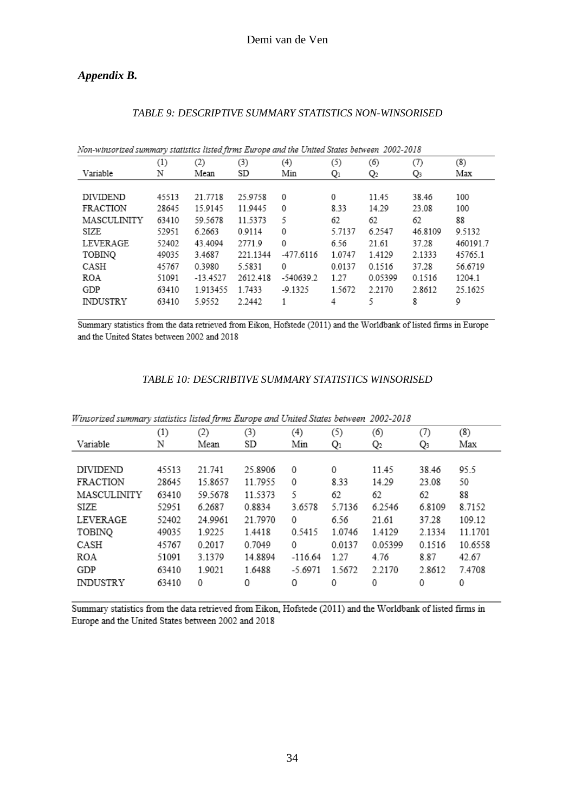## <span id="page-33-0"></span>*Appendix B.*

## *TABLE 9: DESCRIPTIVE SUMMARY STATISTICS NON-WINSORISED*

|                 | (1)   | (2)        | (3)      | (4)         | (5)    | (6)     | (7)     | (8)      |
|-----------------|-------|------------|----------|-------------|--------|---------|---------|----------|
| Variable        | Ν     | Mean       | SD       | Min         | Qı     | Q2      | Q3      | Max      |
|                 |       |            |          |             |        |         |         |          |
| DIVIDEND        | 45513 | 21.7718    | 25.9758  | 0           | 0      | 11.45   | 38.46   | 100      |
| FRACTION        | 28645 | 15.9145    | 11.9445  | 0           | 8.33   | 14.29   | 23.08   | 100      |
| MASCULINITY     | 63410 | 59.5678    | 11.5373  | 5           | 62     | 62      | 62      | 88       |
| SIZE            | 52951 | 6.2663     | 0.9114   | 0           | 5.7137 | 6.2547  | 46.8109 | 9.5132   |
| LEVERAGE        | 52402 | 43.4094    | 2771.9   | 0           | 6.56   | 21.61   | 37.28   | 460191.7 |
| TOBINQ          | 49035 | 3.4687     | 221.1344 | $-477.6116$ | 1.0747 | 1.4129  | 2.1333  | 45765.1  |
| CASH            | 45767 | 0.3980     | 5.5831   | 0           | 0.0137 | 0.1516  | 37.28   | 56.6719  |
| ROA             | 51091 | $-13.4527$ | 2612.418 | -540639.2   | 1.27   | 0.05399 | 0.1516  | 1204.1   |
| GDP             | 63410 | 1.913455   | 1.7433   | $-9.1325$   | 1.5672 | 2.2170  | 2.8612  | 25.1625  |
| <b>INDUSTRY</b> | 63410 | 5.9552     | 2.2442   | 1           | 4      | 5       | 8       | 9        |

Non-winsorized summary statistics listed firms Europe and the United States between 2002-2018

Summary statistics from the data retrieved from Eikon, Hofstede (2011) and the Worldbank of listed firms in Europe and the United States between 2002 and 2018

## *TABLE 10: DESCRIBTIVE SUMMARY STATISTICS WINSORISED*

|                 | (1)   | $^{(2)}$ | (3)     | (4)       | (5)    | (6)     | (7)    | (8)     |
|-----------------|-------|----------|---------|-----------|--------|---------|--------|---------|
| Variable        | Ν     | Mean     | SD      | Min       | Qı     | Q2      | Q3     | Max     |
|                 |       |          |         |           |        |         |        |         |
| <b>DIVIDEND</b> | 45513 | 21.741   | 25.8906 | 0         | 0      | 11.45   | 38.46  | 95.5    |
| <b>FRACTION</b> | 28645 | 15.8657  | 11.7955 | 0         | 8.33   | 14.29   | 23.08  | 50      |
| MASCULINITY     | 63410 | 59.5678  | 11.5373 | 5         | 62     | 62      | 62     | 88      |
| SIZE            | 52951 | 6.2687   | 0.8834  | 3.6578    | 5.7136 | 6.2546  | 6.8109 | 8.7152  |
| LEVERAGE        | 52402 | 24.9961  | 21.7970 | 0         | 6.56   | 21.61   | 37.28  | 109.12  |
| TOBINQ          | 49035 | 1.9225   | 1.4418  | 0.5415    | 1.0746 | 1.4129  | 2.1334 | 11.1701 |
| CASH            | 45767 | 0.2017   | 0.7049  | 0         | 0.0137 | 0.05399 | 0.1516 | 10.6558 |
| ROA             | 51091 | 3.1379   | 14.8894 | $-116.64$ | 1.27   | 4.76    | 8.87   | 42.67   |
| GDP             | 63410 | 1.9021   | 1.6488  | $-5.6971$ | 1.5672 | 2.2170  | 2.8612 | 74708   |
| <b>INDUSTRY</b> | 63410 | 0        | 0       | 0         | 0      | 0       | 0      | 0       |

Winsorized summary statistics listed firms Europe and United States between 2002-2018

Summary statistics from the data retrieved from Eikon, Hofstede (2011) and the Worldbank of listed firms in Europe and the United States between 2002 and 2018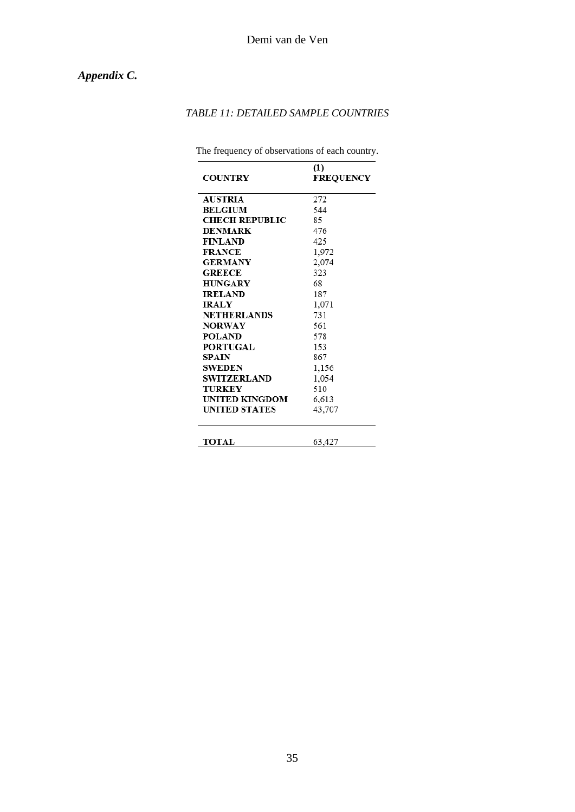# <span id="page-34-0"></span>*Appendix C.*

## *TABLE 11: DETAILED SAMPLE COUNTRIES*

|                       | (1)              |
|-----------------------|------------------|
| COUNTRY               | <b>FREQUENCY</b> |
|                       |                  |
| <b>AUSTRIA</b>        | 272              |
| <b>BELGIUM</b>        | 544              |
| <b>CHECH REPUBLIC</b> | 85               |
| <b>DENMARK</b>        | 476              |
| <b>FINLAND</b>        | 425              |
| <b>FRANCE</b>         | 1,972            |
| <b>GERMANY</b>        | 2,074            |
| <b>GREECE</b>         | 323              |
| <b>HUNGARY</b>        | 68               |
| <b>IRELAND</b>        | 187              |
| <b>IRALY</b>          | 1,071            |
| <b>NETHERLANDS</b>    | 731              |
| <b>NORWAY</b>         | 561              |
| <b>POLAND</b>         | 578              |
| <b>PORTUGAL</b>       | 153              |
| SPAIN                 | 867              |
| <b>SWEDEN</b>         | 1,156            |
| <b>SWITZERLAND</b>    | 1,054            |
| TURKEY                | 510              |
| <b>UNITED KINGDOM</b> | 6,613            |
| <b>UNITED STATES</b>  | 43,707           |
|                       |                  |
|                       |                  |
| <b>TOTAL</b>          | 63,427           |

The frequency of observations of each country.